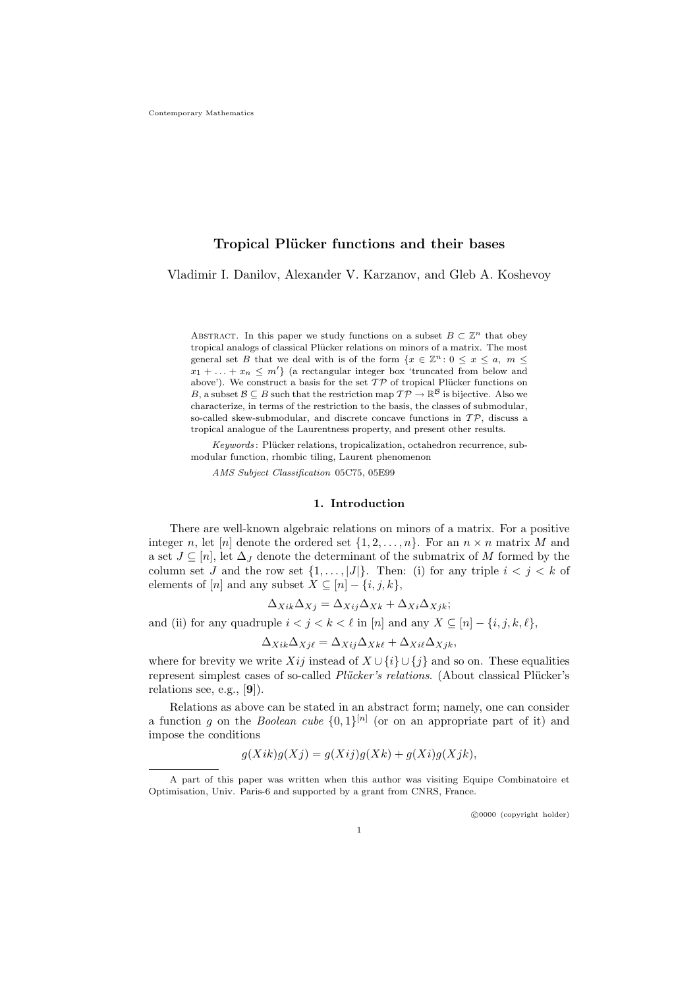# Tropical Plücker functions and their bases

Vladimir I. Danilov, Alexander V. Karzanov, and Gleb A. Koshevoy

ABSTRACT. In this paper we study functions on a subset  $B \subset \mathbb{Z}^n$  that obey tropical analogs of classical Plücker relations on minors of a matrix. The most general set B that we deal with is of the form  $\{x \in \mathbb{Z}^n : 0 \le x \le a, m \le x \}$  $x_1 + \ldots + x_n \leq m'$  (a rectangular integer box 'truncated from below and above'). We construct a basis for the set  $\mathcal{TP}$  of tropical Plücker functions on B, a subset  $\mathcal{B} \subseteq B$  such that the restriction map  $\mathcal{TP} \to \mathbb{R}^B$  is bijective. Also we characterize, in terms of the restriction to the basis, the classes of submodular, so-called skew-submodular, and discrete concave functions in  $\mathcal{TP}$ , discuss a tropical analogue of the Laurentness property, and present other results.

Keywords: Plücker relations, tropicalization, octahedron recurrence, submodular function, rhombic tiling, Laurent phenomenon

AMS Subject Classification 05C75, 05E99

#### 1. Introduction

There are well-known algebraic relations on minors of a matrix. For a positive integer n, let [n] denote the ordered set  $\{1, 2, \ldots, n\}$ . For an  $n \times n$  matrix M and a set  $J \subseteq [n]$ , let  $\Delta_J$  denote the determinant of the submatrix of M formed by the column set J and the row set  $\{1, \ldots, |J|\}$ . Then: (i) for any triple  $i < j < k$  of elements of [n] and any subset  $X \subseteq [n] - \{i, j, k\},\$ 

$$
\Delta_{Xik}\Delta_{Xj} = \Delta_{Xij}\Delta_{Xk} + \Delta_{Xi}\Delta_{Xjk};
$$

and (ii) for any quadruple  $i < j < k < \ell$  in [n] and any  $X \subseteq [n] - \{i, j, k, \ell\},\$ 

$$
\Delta_{Xik}\Delta_{Xj\ell} = \Delta_{Xij}\Delta_{Xk\ell} + \Delta_{Xi\ell}\Delta_{Xjk},
$$

where for brevity we write Xij instead of  $X \cup \{i\} \cup \{j\}$  and so on. These equalities represent simplest cases of so-called *Plücker's relations*. (About classical Plücker's relations see, e.g., [9]).

Relations as above can be stated in an abstract form; namely, one can consider a function g on the *Boolean cube*  $\{0,1\}^{[n]}$  (or on an appropriate part of it) and impose the conditions

$$
g(Xik)g(Xj) = g(Xij)g(Xk) + g(Xi)g(Xjk),
$$

c 0000 (copyright holder)

A part of this paper was written when this author was visiting Equipe Combinatoire et Optimisation, Univ. Paris-6 and supported by a grant from CNRS, France.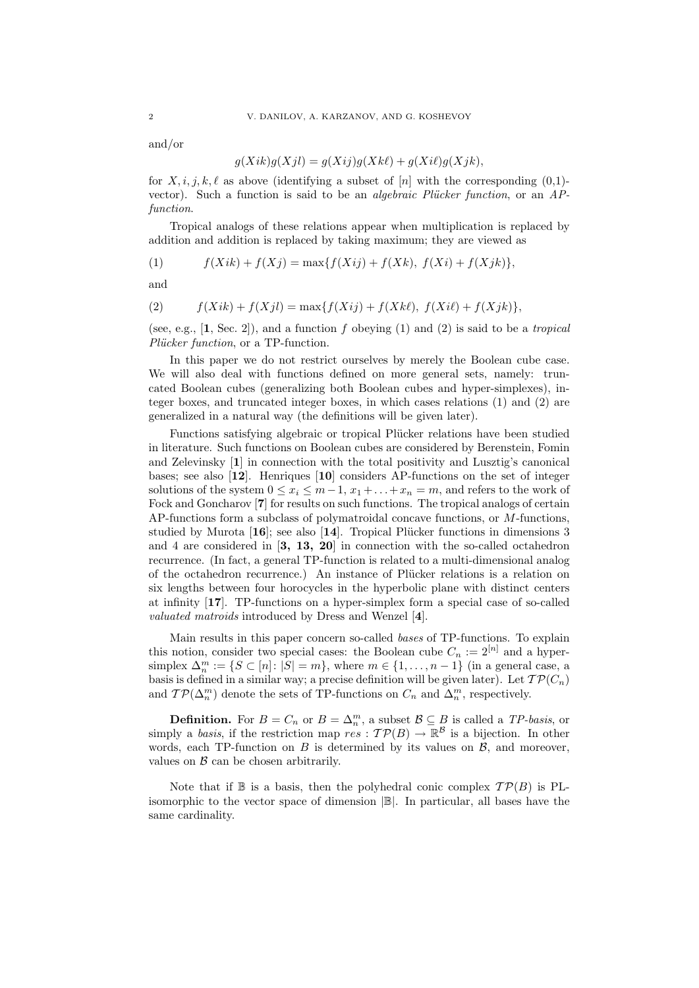and/or

$$
g(Xik)g(Xjl) = g(Xij)g(Xk\ell) + g(Xil)g(Xjk),
$$

for X, i, j, k,  $\ell$  as above (identifying a subset of [n] with the corresponding (0,1)vector). Such a function is said to be an *algebraic Plücker function*, or an  $AP$ function.

Tropical analogs of these relations appear when multiplication is replaced by addition and addition is replaced by taking maximum; they are viewed as

(1) 
$$
f(Xik) + f(Xj) = \max\{f(Xij) + f(Xk), f(Xi) + f(Xjk)\},
$$

and

(2) 
$$
f(Xik) + f(Xjl) = \max\{f(Xij) + f(Xk\ell), f(Xil) + f(Xjk)\},
$$

(see, e.g.,  $[1, \text{Sec. 2}]$ ), and a function f obeying (1) and (2) is said to be a *tropical* Plücker function, or a TP-function.

In this paper we do not restrict ourselves by merely the Boolean cube case. We will also deal with functions defined on more general sets, namely: truncated Boolean cubes (generalizing both Boolean cubes and hyper-simplexes), integer boxes, and truncated integer boxes, in which cases relations (1) and (2) are generalized in a natural way (the definitions will be given later).

Functions satisfying algebraic or tropical Plücker relations have been studied in literature. Such functions on Boolean cubes are considered by Berenstein, Fomin and Zelevinsky [1] in connection with the total positivity and Lusztig's canonical bases; see also [12]. Henriques [10] considers AP-functions on the set of integer solutions of the system  $0 \le x_i \le m-1, x_1 + \ldots + x_n = m$ , and refers to the work of Fock and Goncharov [7] for results on such functions. The tropical analogs of certain AP-functions form a subclass of polymatroidal concave functions, or M-functions, studied by Murota  $[16]$ ; see also  $[14]$ . Tropical Plücker functions in dimensions 3 and 4 are considered in [3, 13, 20] in connection with the so-called octahedron recurrence. (In fact, a general TP-function is related to a multi-dimensional analog of the octahedron recurrence.) An instance of Plücker relations is a relation on six lengths between four horocycles in the hyperbolic plane with distinct centers at infinity [17]. TP-functions on a hyper-simplex form a special case of so-called valuated matroids introduced by Dress and Wenzel [4].

Main results in this paper concern so-called bases of TP-functions. To explain this notion, consider two special cases: the Boolean cube  $C_n := 2^{[n]}$  and a hypersimplex  $\Delta_n^m := \{ S \subset [n] : |S| = m \}$ , where  $m \in \{1, ..., n-1\}$  (in a general case, a basis is defined in a similar way; a precise definition will be given later). Let  $\mathcal{TP}(C_n)$ and  $\mathcal{TP}(\Delta_n^m)$  denote the sets of TP-functions on  $C_n$  and  $\Delta_n^m$ , respectively.

**Definition.** For  $B = C_n$  or  $B = \Delta_n^m$ , a subset  $\mathcal{B} \subseteq B$  is called a TP-basis, or simply a basis, if the restriction map  $res: \mathcal{TP}(B) \to \mathbb{R}^B$  is a bijection. In other words, each TP-function on  $B$  is determined by its values on  $B$ , and moreover, values on  $\beta$  can be chosen arbitrarily.

Note that if  $\mathbb B$  is a basis, then the polyhedral conic complex  $\mathcal{TP}(B)$  is PLisomorphic to the vector space of dimension |B|. In particular, all bases have the same cardinality.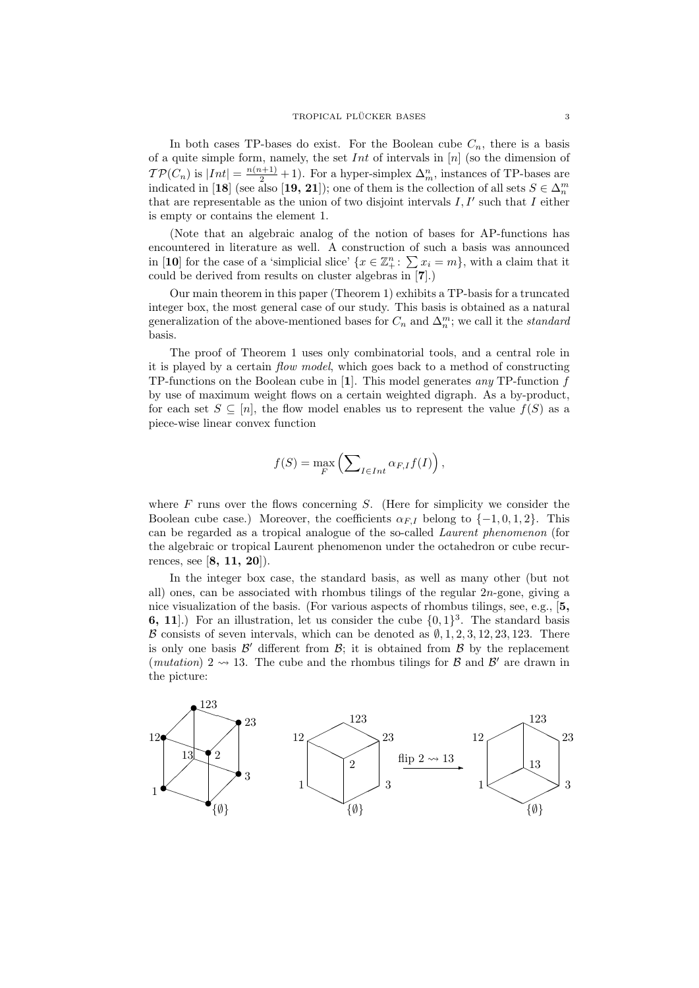In both cases TP-bases do exist. For the Boolean cube  $C_n$ , there is a basis of a quite simple form, namely, the set  $Int$  of intervals in  $[n]$  (so the dimension of  $\mathcal{TP}(C_n)$  is  $|Int| = \frac{n(n+1)}{2} + 1$ . For a hyper-simplex  $\Delta_m^n$ , instances of TP-bases are indicated in [18] (see also [19, 21]); one of them is the collection of all sets  $S \in \Delta_n^m$ that are representable as the union of two disjoint intervals  $I, I'$  such that  $I$  either is empty or contains the element 1.

(Note that an algebraic analog of the notion of bases for AP-functions has encountered in literature as well. A construction of such a basis was announced in [10] for the case of a 'simplicial slice'  $\{x \in \mathbb{Z}_{+}^{n} : \sum x_i = m\}$ , with a claim that it could be derived from results on cluster algebras in [7].)

Our main theorem in this paper (Theorem 1) exhibits a TP-basis for a truncated integer box, the most general case of our study. This basis is obtained as a natural generalization of the above-mentioned bases for  $C_n$  and  $\Delta_n^m$ ; we call it the *standard* basis.

The proof of Theorem 1 uses only combinatorial tools, and a central role in it is played by a certain flow model, which goes back to a method of constructing TP-functions on the Boolean cube in [1]. This model generates any TP-function f by use of maximum weight flows on a certain weighted digraph. As a by-product, for each set  $S \subseteq [n]$ , the flow model enables us to represent the value  $f(S)$  as a piece-wise linear convex function

$$
f(S) = \max_{F} \left( \sum_{I \in Int} \alpha_{F,I} f(I) \right),
$$

where  $F$  runs over the flows concerning  $S$ . (Here for simplicity we consider the Boolean cube case.) Moreover, the coefficients  $\alpha_{F,I}$  belong to  $\{-1,0,1,2\}$ . This can be regarded as a tropical analogue of the so-called Laurent phenomenon (for the algebraic or tropical Laurent phenomenon under the octahedron or cube recurrences, see [8, 11, 20]).

In the integer box case, the standard basis, as well as many other (but not all) ones, can be associated with rhombus tilings of the regular  $2n$ -gone, giving a nice visualization of the basis. (For various aspects of rhombus tilings, see, e.g., [5, **6, 11**.) For an illustration, let us consider the cube  $\{0,1\}^3$ . The standard basis B consists of seven intervals, which can be denoted as  $\emptyset$ , 1, 2, 3, 12, 23, 123. There is only one basis  $\mathcal{B}'$  different from  $\mathcal{B}$ ; it is obtained from  $\mathcal{B}$  by the replacement (*mutation*)  $2 \rightarrow 13$ . The cube and the rhombus tilings for  $\beta$  and  $\beta'$  are drawn in the picture:

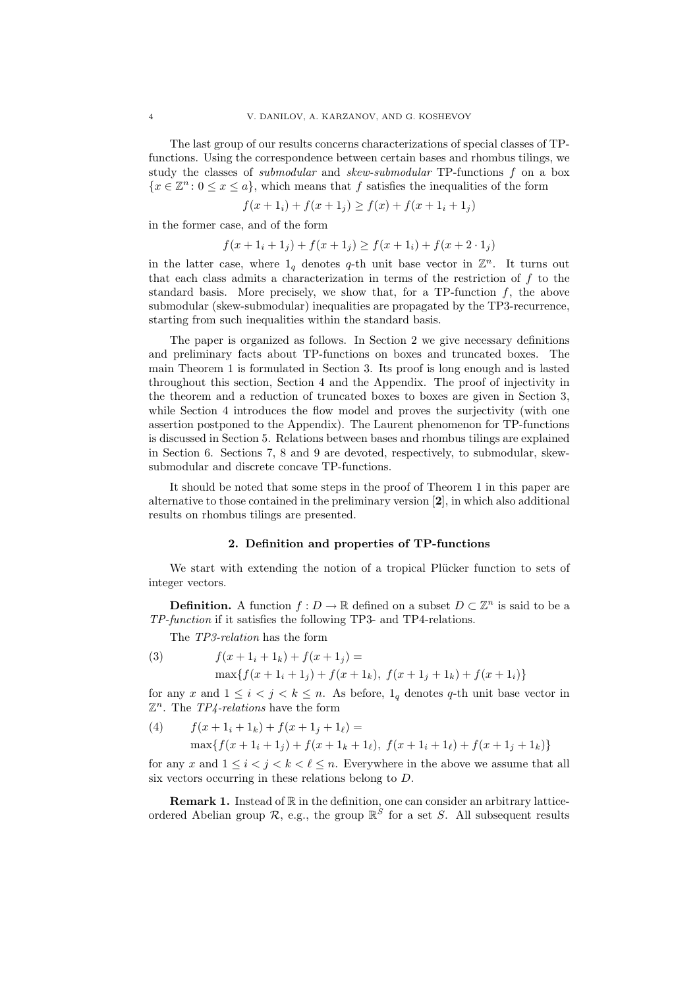The last group of our results concerns characterizations of special classes of TPfunctions. Using the correspondence between certain bases and rhombus tilings, we study the classes of *submodular* and *skew-submodular* TP-functions f on a box  ${x \in \mathbb{Z}^n : 0 \leq x \leq a}$ , which means that f satisfies the inequalities of the form

$$
f(x + 1_i) + f(x + 1_j) \ge f(x) + f(x + 1_i + 1_j)
$$

in the former case, and of the form

$$
f(x + 1_i + 1_j) + f(x + 1_j) \ge f(x + 1_i) + f(x + 2 \cdot 1_j)
$$

in the latter case, where  $1<sub>q</sub>$  denotes q-th unit base vector in  $\mathbb{Z}^n$ . It turns out that each class admits a characterization in terms of the restriction of  $f$  to the standard basis. More precisely, we show that, for a TP-function  $f$ , the above submodular (skew-submodular) inequalities are propagated by the TP3-recurrence, starting from such inequalities within the standard basis.

The paper is organized as follows. In Section 2 we give necessary definitions and preliminary facts about TP-functions on boxes and truncated boxes. The main Theorem 1 is formulated in Section 3. Its proof is long enough and is lasted throughout this section, Section 4 and the Appendix. The proof of injectivity in the theorem and a reduction of truncated boxes to boxes are given in Section 3, while Section 4 introduces the flow model and proves the surjectivity (with one assertion postponed to the Appendix). The Laurent phenomenon for TP-functions is discussed in Section 5. Relations between bases and rhombus tilings are explained in Section 6. Sections 7, 8 and 9 are devoted, respectively, to submodular, skewsubmodular and discrete concave TP-functions.

It should be noted that some steps in the proof of Theorem 1 in this paper are alternative to those contained in the preliminary version [2], in which also additional results on rhombus tilings are presented.

## 2. Definition and properties of TP-functions

We start with extending the notion of a tropical Plücker function to sets of integer vectors.

**Definition.** A function  $f: D \to \mathbb{R}$  defined on a subset  $D \subset \mathbb{Z}^n$  is said to be a TP-function if it satisfies the following TP3- and TP4-relations.

The TP3-relation has the form

(3) 
$$
f(x+1_i+1_k) + f(x+1_j) =
$$

$$
\max\{f(x+1_i+1_j) + f(x+1_k), f(x+1_j+1_k) + f(x+1_i)\}\
$$

for any x and  $1 \leq i < j < k \leq n$ . As before,  $1_q$  denotes q-th unit base vector in  $\mathbb{Z}^n$ . The TP4-relations have the form

(4) 
$$
f(x+1_i+1_k) + f(x+1_j+1_\ell) =
$$

$$
\max\{f(x+1_i+1_j) + f(x+1_k+1_\ell), f(x+1_i+1_\ell) + f(x+1_j+1_k)\}
$$

for any x and  $1 \leq i \leq j \leq k \leq \ell \leq n$ . Everywhere in the above we assume that all six vectors occurring in these relations belong to D.

**Remark 1.** Instead of  $\mathbb{R}$  in the definition, one can consider an arbitrary latticeordered Abelian group  $\mathcal{R}$ , e.g., the group  $\mathbb{R}^S$  for a set S. All subsequent results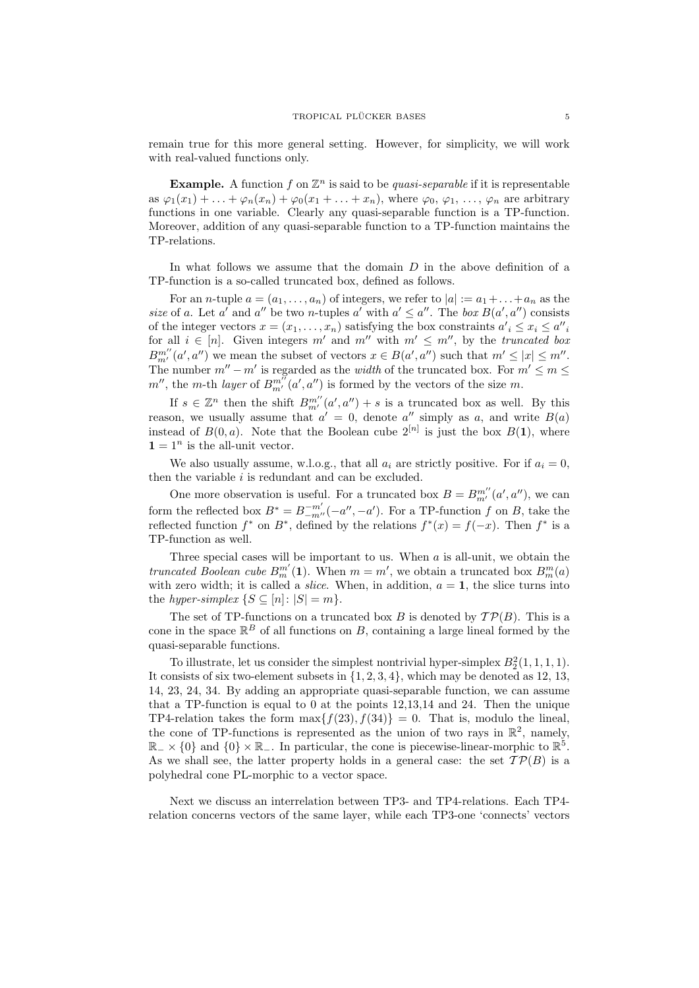remain true for this more general setting. However, for simplicity, we will work with real-valued functions only.

**Example.** A function f on  $\mathbb{Z}^n$  is said to be quasi-separable if it is representable as  $\varphi_1(x_1) + \ldots + \varphi_n(x_n) + \varphi_0(x_1 + \ldots + x_n)$ , where  $\varphi_0, \varphi_1, \ldots, \varphi_n$  are arbitrary functions in one variable. Clearly any quasi-separable function is a TP-function. Moreover, addition of any quasi-separable function to a TP-function maintains the TP-relations.

In what follows we assume that the domain  $D$  in the above definition of a TP-function is a so-called truncated box, defined as follows.

For an *n*-tuple  $a = (a_1, \ldots, a_n)$  of integers, we refer to  $|a| := a_1 + \ldots + a_n$  as the size of a. Let a' and a'' be two n-tuples a' with  $a' \le a''$ . The box  $B(a', a'')$  consists of the integer vectors  $x = (x_1, \ldots, x_n)$  satisfying the box constraints  $a'_i \leq x_i \leq a''_i$ for all  $i \in [n]$ . Given integers m' and m'' with  $m' \leq m''$ , by the truncated box  $B_{m'}^{m''}(a',a'')$  we mean the subset of vectors  $x \in B(a',a'')$  such that  $m' \leq |x| \leq m''$ . The number  $m'' - m'$  is regarded as the *width* of the truncated box. For  $m' \le m \le$  $m''$ , the m-th *layer* of  $B_{m'}^{m''}(a', a'')$  is formed by the vectors of the size m.

If  $s \in \mathbb{Z}^n$  then the shift  $B_{m'}^{m''}(a', a'') + s$  is a truncated box as well. By this reason, we usually assume that  $a' = 0$ , denote  $a''$  simply as a, and write  $B(a)$ instead of  $B(0, a)$ . Note that the Boolean cube  $2^{[n]}$  is just the box  $B(1)$ , where  $\mathbf{1} = 1^n$  is the all-unit vector.

We also usually assume, w.l.o.g., that all  $a_i$  are strictly positive. For if  $a_i = 0$ , then the variable  $i$  is redundant and can be excluded.

One more observation is useful. For a truncated box  $B = B_{m'}^{m''}(a', a'')$ , we can form the reflected box  $B^* = B^{-m'}_{-m''}(-a'', -a')$ . For a TP-function f on B, take the reflected function  $f^*$  on  $B^*$ , defined by the relations  $f^*(x) = f(-x)$ . Then  $f^*$  is a TP-function as well.

Three special cases will be important to us. When  $a$  is all-unit, we obtain the truncated Boolean cube  $B_m^{m'}(1)$ . When  $m = m'$ , we obtain a truncated box  $B_m^m(a)$ with zero width; it is called a *slice*. When, in addition,  $a = 1$ , the slice turns into the *hyper-simplex*  $\{S \subseteq [n]: |S| = m\}.$ 

The set of TP-functions on a truncated box B is denoted by  $\mathcal{TP}(B)$ . This is a cone in the space  $\mathbb{R}^B$  of all functions on B, containing a large lineal formed by the quasi-separable functions.

To illustrate, let us consider the simplest nontrivial hyper-simplex  $B_2^2(1,1,1,1)$ . It consists of six two-element subsets in  $\{1, 2, 3, 4\}$ , which may be denoted as 12, 13, 14, 23, 24, 34. By adding an appropriate quasi-separable function, we can assume that a TP-function is equal to 0 at the points 12,13,14 and 24. Then the unique TP4-relation takes the form  $\max\{f(23), f(34)\} = 0$ . That is, modulo the lineal, the cone of TP-functions is represented as the union of two rays in  $\mathbb{R}^2$ , namely,  $\mathbb{R}_-\times\{0\}$  and  $\{0\}\times\mathbb{R}_-$ . In particular, the cone is piecewise-linear-morphic to  $\mathbb{R}^5$ . As we shall see, the latter property holds in a general case: the set  $\mathcal{TP}(B)$  is a polyhedral cone PL-morphic to a vector space.

Next we discuss an interrelation between TP3- and TP4-relations. Each TP4 relation concerns vectors of the same layer, while each TP3-one 'connects' vectors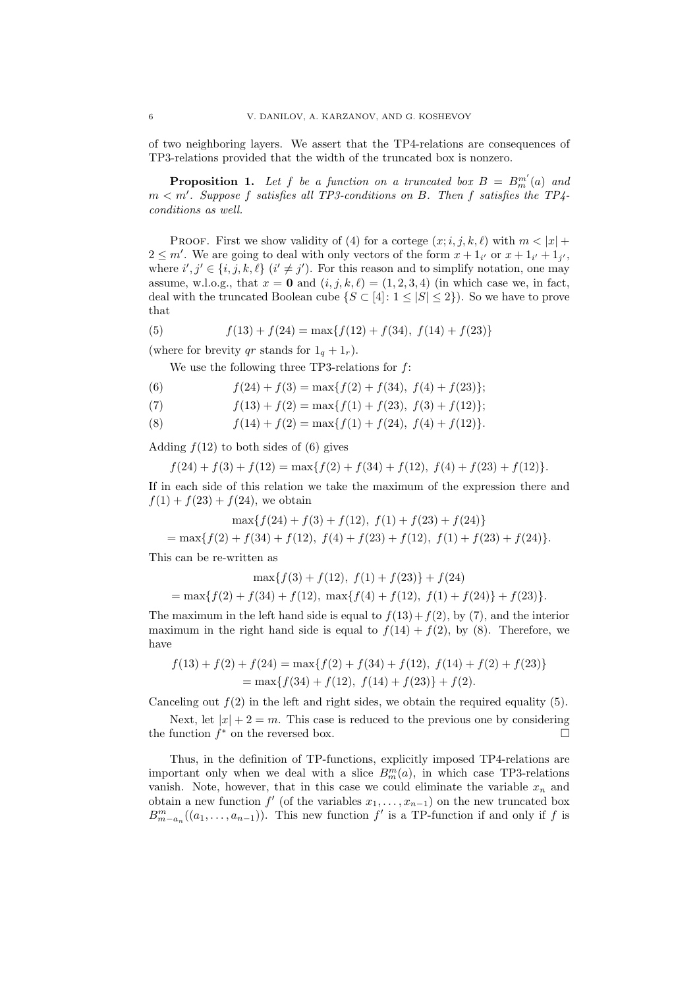of two neighboring layers. We assert that the TP4-relations are consequences of TP3-relations provided that the width of the truncated box is nonzero.

**Proposition 1.** Let f be a function on a truncated box  $B = B_m^{m'}(a)$  and  $m < m'$ . Suppose f satisfies all TP3-conditions on B. Then f satisfies the TP4conditions as well.

PROOF. First we show validity of (4) for a cortege  $(x; i, j, k, \ell)$  with  $m < |x| +$  $2 \leq m'$ . We are going to deal with only vectors of the form  $x + 1_{i'}$  or  $x + 1_{i'} + 1_{j'}$ , where  $i', j' \in \{i, j, k, \ell\}$   $(i' \neq j')$ . For this reason and to simplify notation, one may assume, w.l.o.g., that  $x = 0$  and  $(i, j, k, \ell) = (1, 2, 3, 4)$  (in which case we, in fact, deal with the truncated Boolean cube  $\{S \subset [4]: 1 \leq |S| \leq 2\}$ . So we have to prove that

(5) 
$$
f(13) + f(24) = \max\{f(12) + f(34), f(14) + f(23)\}\
$$

(where for brevity qr stands for  $1_q + 1_r$ ).

We use the following three TP3-relations for  $f$ :

(6) 
$$
f(24) + f(3) = \max\{f(2) + f(34), f(4) + f(23)\};
$$

(7) 
$$
f(13) + f(2) = \max\{f(1) + f(23), f(3) + f(12)\};
$$

(8)  $f(14) + f(2) = \max\{f(1) + f(24), f(4) + f(12)\}.$ 

Adding  $f(12)$  to both sides of (6) gives

 $f(24) + f(3) + f(12) = \max\{f(2) + f(34) + f(12), f(4) + f(23) + f(12)\}.$ 

If in each side of this relation we take the maximum of the expression there and  $f(1) + f(23) + f(24)$ , we obtain

$$
\max\{f(24) + f(3) + f(12), f(1) + f(23) + f(24)\}
$$
  
= 
$$
\max\{f(2) + f(34) + f(12), f(4) + f(23) + f(12), f(1) + f(23) + f(24)\}.
$$

This can be re-written as

$$
\max\{f(3) + f(12), f(1) + f(23)\} + f(24)
$$
  
= 
$$
\max\{f(2) + f(34) + f(12), \max\{f(4) + f(12), f(1) + f(24)\} + f(23)\}.
$$

The maximum in the left hand side is equal to  $f(13) + f(2)$ , by (7), and the interior maximum in the right hand side is equal to  $f(14) + f(2)$ , by (8). Therefore, we have

$$
f(13) + f(2) + f(24) = \max\{f(2) + f(34) + f(12), f(14) + f(2) + f(23)\}
$$
  
= 
$$
\max\{f(34) + f(12), f(14) + f(23)\} + f(2).
$$

Canceling out  $f(2)$  in the left and right sides, we obtain the required equality (5).

Next, let  $|x| + 2 = m$ . This case is reduced to the previous one by considering the function  $f^*$  on the reversed box.

Thus, in the definition of TP-functions, explicitly imposed TP4-relations are important only when we deal with a slice  $B_m^m(a)$ , in which case TP3-relations vanish. Note, however, that in this case we could eliminate the variable  $x_n$  and obtain a new function  $f'$  (of the variables  $x_1, \ldots, x_{n-1}$ ) on the new truncated box  $B_{m-a_n}^m((a_1,\ldots,a_{n-1}))$ . This new function  $f'$  is a TP-function if and only if f is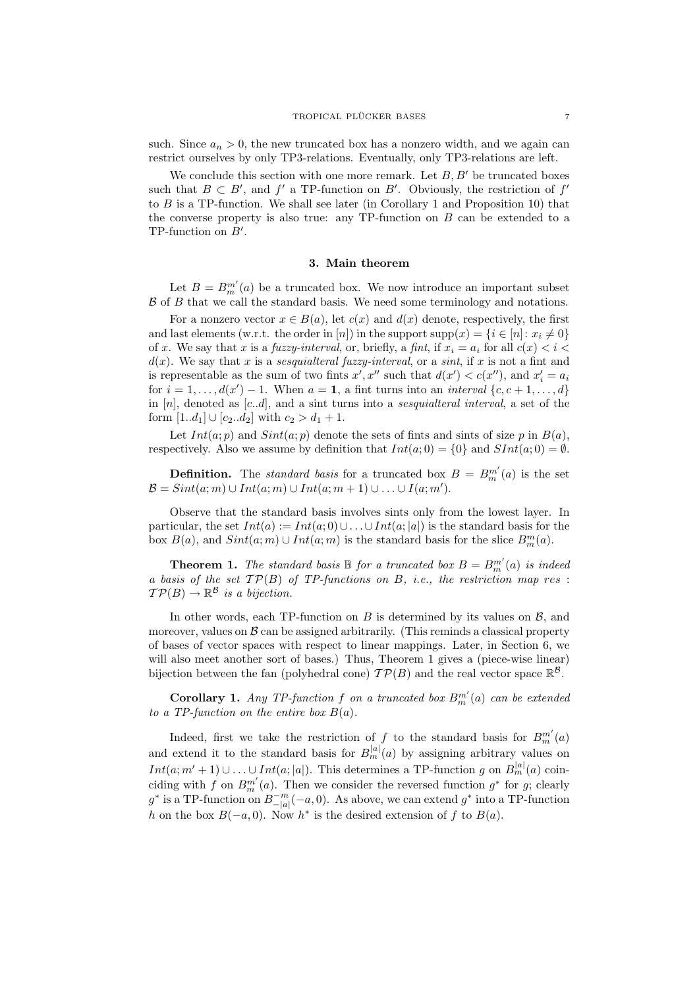such. Since  $a_n > 0$ , the new truncated box has a nonzero width, and we again can restrict ourselves by only TP3-relations. Eventually, only TP3-relations are left.

We conclude this section with one more remark. Let  $B, B'$  be truncated boxes such that  $B \subset B'$ , and  $f'$  a TP-function on B'. Obviously, the restriction of  $f'$ to B is a TP-function. We shall see later (in Corollary 1 and Proposition 10) that the converse property is also true: any  $TP$ -function on  $B$  can be extended to a TP-function on  $B'$ .

## 3. Main theorem

Let  $B = B_m^{m'}(a)$  be a truncated box. We now introduce an important subset  $\beta$  of  $B$  that we call the standard basis. We need some terminology and notations.

For a nonzero vector  $x \in B(a)$ , let  $c(x)$  and  $d(x)$  denote, respectively, the first and last elements (w.r.t. the order in [n]) in the support  $supp(x) = \{i \in [n]: x_i \neq 0\}$ of x. We say that x is a fuzzy-interval, or, briefly, a fint, if  $x_i = a_i$  for all  $c(x) < i <$  $d(x)$ . We say that x is a sesquialteral fuzzy-interval, or a sint, if x is not a fint and is representable as the sum of two fints  $x', x''$  such that  $d(x') < c(x'')$ , and  $x'_i = a_i$ for  $i = 1, \ldots, d(x') - 1$ . When  $a = 1$ , a fint turns into an *interval*  $\{c, c + 1, \ldots, d\}$ in  $[n]$ , denoted as  $[c..d]$ , and a sint turns into a sesquialteral interval, a set of the form  $[1..d_1] \cup [c_2..d_2]$  with  $c_2 > d_1 + 1$ .

Let  $Int(a; p)$  and  $Sint(a; p)$  denote the sets of fints and sints of size p in  $B(a)$ , respectively. Also we assume by definition that  $Int(a; 0) = \{0\}$  and  $SInt(a; 0) = \emptyset$ .

**Definition.** The *standard basis* for a truncated box  $B = B_m^{m'}(a)$  is the set  $\mathcal{B} = Sint(a; m) \cup Int(a; m) \cup Int(a; m + 1) \cup ... \cup I(a; m').$ 

Observe that the standard basis involves sints only from the lowest layer. In particular, the set  $Int(a) := Int(a; 0) \cup \ldots \cup Int(a; |a|)$  is the standard basis for the box  $B(a)$ , and  $Sint(a;m) \cup Int(a;m)$  is the standard basis for the slice  $B_m^m(a)$ .

**Theorem 1.** The standard basis  $\mathbb B$  for a truncated box  $B = B_m^{m'}(a)$  is indeed a basis of the set  $\mathcal{TP}(B)$  of TP-functions on B, i.e., the restriction map res :  $\mathcal{TP}(B) \to \mathbb{R}^{\mathcal{B}}$  is a bijection.

In other words, each TP-function on  $B$  is determined by its values on  $B$ , and moreover, values on  $\beta$  can be assigned arbitrarily. (This reminds a classical property of bases of vector spaces with respect to linear mappings. Later, in Section 6, we will also meet another sort of bases.) Thus, Theorem 1 gives a (piece-wise linear) bijection between the fan (polyhedral cone)  $\mathcal{TP}(B)$  and the real vector space  $\mathbb{R}^B$ .

**Corollary 1.** Any TP-function f on a truncated box  $B_m^{m'}(a)$  can be extended to a TP-function on the entire box  $B(a)$ .

Indeed, first we take the restriction of  $f$  to the standard basis for  $B_m^{m'}(a)$ and extend it to the standard basis for  $B_m^{[a]}(a)$  by assigning arbitrary values on  $Int(a; m' + 1) \cup ... \cup Int(a; |a|)$ . This determines a TP-function g on  $B_m^{|a|}(a)$  coinciding with f on  $B_m^{m'}(a)$ . Then we consider the reversed function  $g^*$  for g; clearly  $g^*$  is a TP-function on  $B^{-m}_{-|a|}(-a,0)$ . As above, we can extend  $g^*$  into a TP-function h on the box  $B(-a, 0)$ . Now  $h^*$  is the desired extension of f to  $B(a)$ .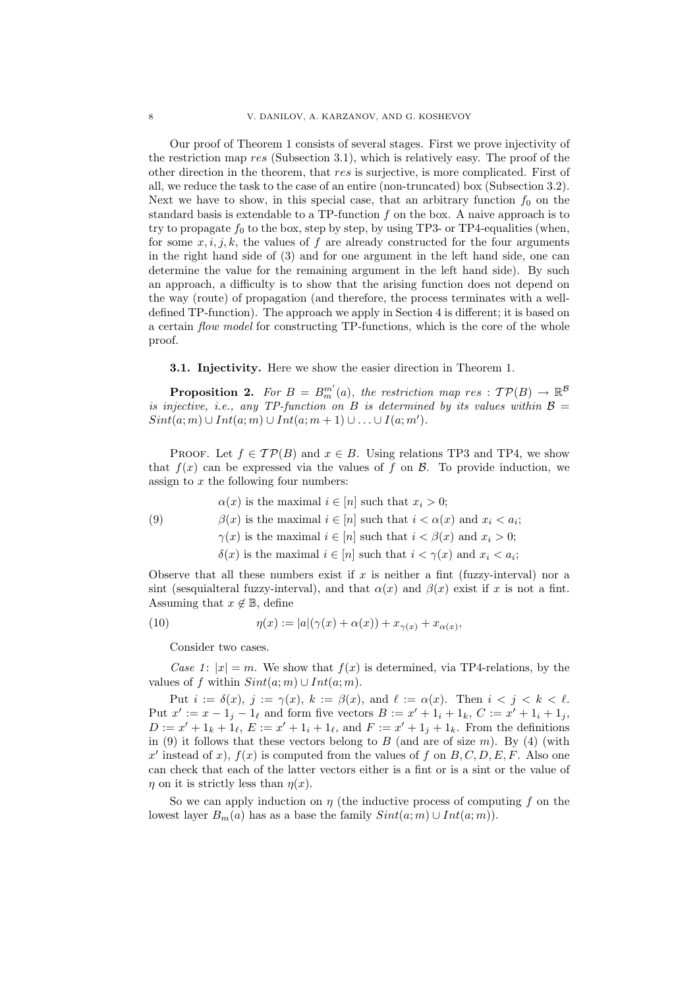Our proof of Theorem 1 consists of several stages. First we prove injectivity of the restriction map res (Subsection 3.1), which is relatively easy. The proof of the other direction in the theorem, that res is surjective, is more complicated. First of all, we reduce the task to the case of an entire (non-truncated) box (Subsection 3.2). Next we have to show, in this special case, that an arbitrary function  $f_0$  on the standard basis is extendable to a TP-function  $f$  on the box. A naive approach is to try to propagate  $f_0$  to the box, step by step, by using TP3- or TP4-equalities (when, for some  $x, i, j, k$ , the values of f are already constructed for the four arguments in the right hand side of (3) and for one argument in the left hand side, one can determine the value for the remaining argument in the left hand side). By such an approach, a difficulty is to show that the arising function does not depend on the way (route) of propagation (and therefore, the process terminates with a welldefined TP-function). The approach we apply in Section 4 is different; it is based on a certain flow model for constructing TP-functions, which is the core of the whole proof.

3.1. Injectivity. Here we show the easier direction in Theorem 1.

**Proposition 2.** For  $B = B_m^{m'}(a)$ , the restriction map res :  $\mathcal{TP}(B) \to \mathbb{R}^B$ is injective, i.e., any TP-function on B is determined by its values within  $\mathcal{B} =$  $Sint(a; m) \cup Int(a; m) \cup Int(a; m+1) \cup ... \cup I(a; m').$ 

PROOF. Let  $f \in \mathcal{TP}(B)$  and  $x \in B$ . Using relations TP3 and TP4, we show that  $f(x)$  can be expressed via the values of f on  $\beta$ . To provide induction, we assign to  $x$  the following four numbers:

 $\alpha(x)$  is the maximal  $i \in [n]$  such that  $x_i > 0$ ;

(9)  $\beta(x)$  is the maximal  $i \in [n]$  such that  $i < \alpha(x)$  and  $x_i < a_i$ ;

 $\gamma(x)$  is the maximal  $i \in [n]$  such that  $i < \beta(x)$  and  $x_i > 0$ ;

 $\delta(x)$  is the maximal  $i \in [n]$  such that  $i < \gamma(x)$  and  $x_i < a_i$ ;

Observe that all these numbers exist if  $x$  is neither a fint (fuzzy-interval) nor a sint (sesquialteral fuzzy-interval), and that  $\alpha(x)$  and  $\beta(x)$  exist if x is not a fint. Assuming that  $x \notin \mathbb{B}$ , define

(10) 
$$
\eta(x) := |a|(\gamma(x) + \alpha(x)) + x_{\gamma(x)} + x_{\alpha(x)},
$$

Consider two cases.

Case 1:  $|x| = m$ . We show that  $f(x)$  is determined, via TP4-relations, by the values of f within  $Sint(a; m) \cup Int(a; m)$ .

Put  $i := \delta(x)$ ,  $j := \gamma(x)$ ,  $k := \beta(x)$ , and  $\ell := \alpha(x)$ . Then  $i < j < k < \ell$ . Put  $x' := x - 1_j - 1_\ell$  and form five vectors  $B := x' + 1_i + 1_k$ ,  $C := x' + 1_i + 1_j$ ,  $D := x' + 1_k + 1_\ell, E := x' + 1_i + 1_\ell, \text{ and } F := x' + 1_j + 1_k.$  From the definitions in (9) it follows that these vectors belong to  $B$  (and are of size m). By (4) (with x' instead of x),  $f(x)$  is computed from the values of f on  $B, C, D, E, F$ . Also one can check that each of the latter vectors either is a fint or is a sint or the value of  $\eta$  on it is strictly less than  $\eta(x)$ .

So we can apply induction on  $\eta$  (the inductive process of computing f on the lowest layer  $B_m(a)$  has as a base the family  $Sint(a; m) \cup Int(a; m)$ .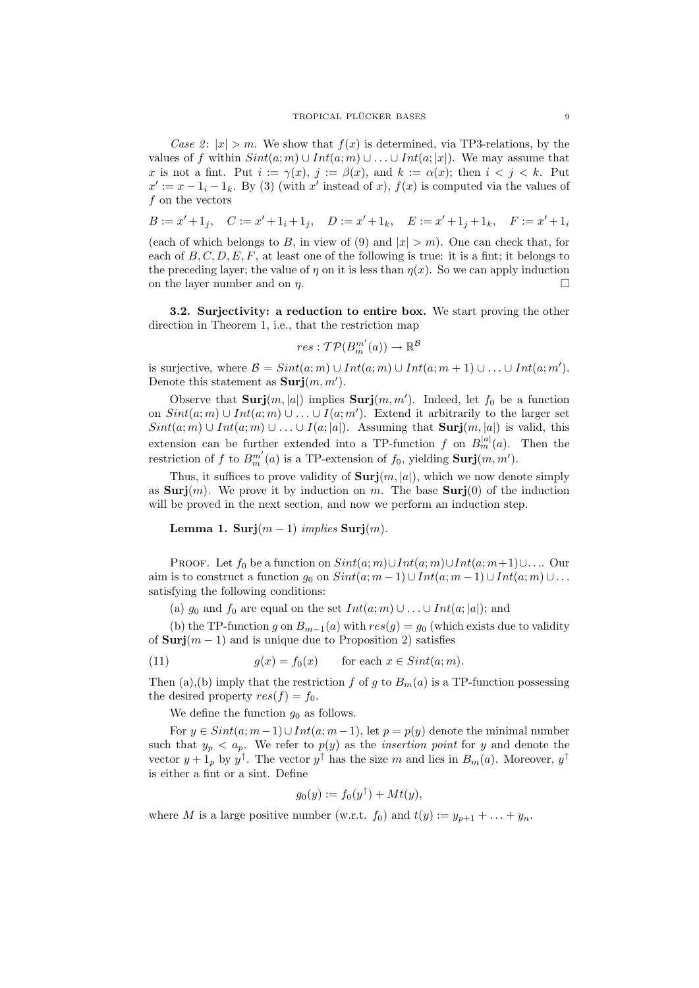Case 2:  $|x| > m$ . We show that  $f(x)$  is determined, via TP3-relations, by the values of f within  $Sint(a; m) \cup Int(a; m) \cup ... \cup Int(a; |x|)$ . We may assume that x is not a fint. Put  $i := \gamma(x)$ ,  $j := \beta(x)$ , and  $k := \alpha(x)$ ; then  $i < j < k$ . Put  $x' := x - 1_i - 1_k$ . By (3) (with x' instead of x),  $f(x)$  is computed via the values of f on the vectors

$$
B := x' + 1_j, \quad C := x' + 1_i + 1_j, \quad D := x' + 1_k, \quad E := x' + 1_j + 1_k, \quad F := x' + 1_i
$$

(each of which belongs to B, in view of (9) and  $|x| > m$ ). One can check that, for each of  $B, C, D, E, F$ , at least one of the following is true: it is a fint; it belongs to the preceding layer; the value of  $\eta$  on it is less than  $\eta(x)$ . So we can apply induction on the layer number and on  $\eta$ .

3.2. Surjectivity: a reduction to entire box. We start proving the other direction in Theorem 1, i.e., that the restriction map

$$
res: \mathcal{TP}(B_m^{m'}(a)) \to \mathbb{R}^{\mathcal{B}}
$$

is surjective, where  $\mathcal{B} = Sint(a; m) \cup Int(a; m) \cup Int(a; m + 1) \cup ... \cup Int(a; m')$ . Denote this statement as  $\text{Surj}(m, m')$ .

Observe that  $\text{Surj}(m,|a|)$  implies  $\text{Surj}(m,m')$ . Indeed, let  $f_0$  be a function on  $Sint(a; m) \cup Int(a; m) \cup ... \cup I(a; m')$ . Extend it arbitrarily to the larger set  $Sint(a; m) \cup Int(a; m) \cup ... \cup I(a; |a|)$ . Assuming that  $Surj(m, |a|)$  is valid, this extension can be further extended into a TP-function f on  $B_m^{[a]}(a)$ . Then the restriction of f to  $B_m^{m'}(a)$  is a TP-extension of  $f_0$ , yielding  $\text{Surj}(m, m')$ .

Thus, it suffices to prove validity of  $\text{Surj}(m, |a|)$ , which we now denote simply as  $\text{Surj}(m)$ . We prove it by induction on m. The base  $\text{Surj}(0)$  of the induction will be proved in the next section, and now we perform an induction step.

Lemma 1. Surj $(m-1)$  implies Surj $(m)$ .

PROOF. Let  $f_0$  be a function on  $Sint(a; m) \cup Int(a; m) \cup Int(a; m+1) \cup ...$  Our aim is to construct a function  $g_0$  on  $Sint(a; m-1) \cup Int(a; m-1) \cup Int(a; m) \cup ...$ satisfying the following conditions:

(a)  $g_0$  and  $f_0$  are equal on the set  $Int(a; m) \cup ... \cup Int(a; |a|)$ ; and

(b) the TP-function g on  $B_{m-1}(a)$  with  $res(g) = g_0$  (which exists due to validity of  $\text{Surj}(m-1)$  and is unique due to Proposition 2) satisfies

(11) 
$$
g(x) = f_0(x) \quad \text{for each } x \in Sint(a; m).
$$

Then (a),(b) imply that the restriction f of q to  $B_m(a)$  is a TP-function possessing the desired property  $res(f) = f_0$ .

We define the function  $q_0$  as follows.

For  $y \in Sint(a; m-1) \cup Int(a; m-1)$ , let  $p = p(y)$  denote the minimal number such that  $y_p < a_p$ . We refer to  $p(y)$  as the *insertion point* for y and denote the vector  $y + 1_p$  by  $y^{\uparrow}$ . The vector  $y^{\uparrow}$  has the size m and lies in  $B_m(a)$ . Moreover,  $y^{\uparrow}$ is either a fint or a sint. Define

$$
g_0(y) := f_0(y^\uparrow) + Mt(y),
$$

where M is a large positive number (w.r.t.  $f_0$ ) and  $t(y) := y_{p+1} + \ldots + y_n$ .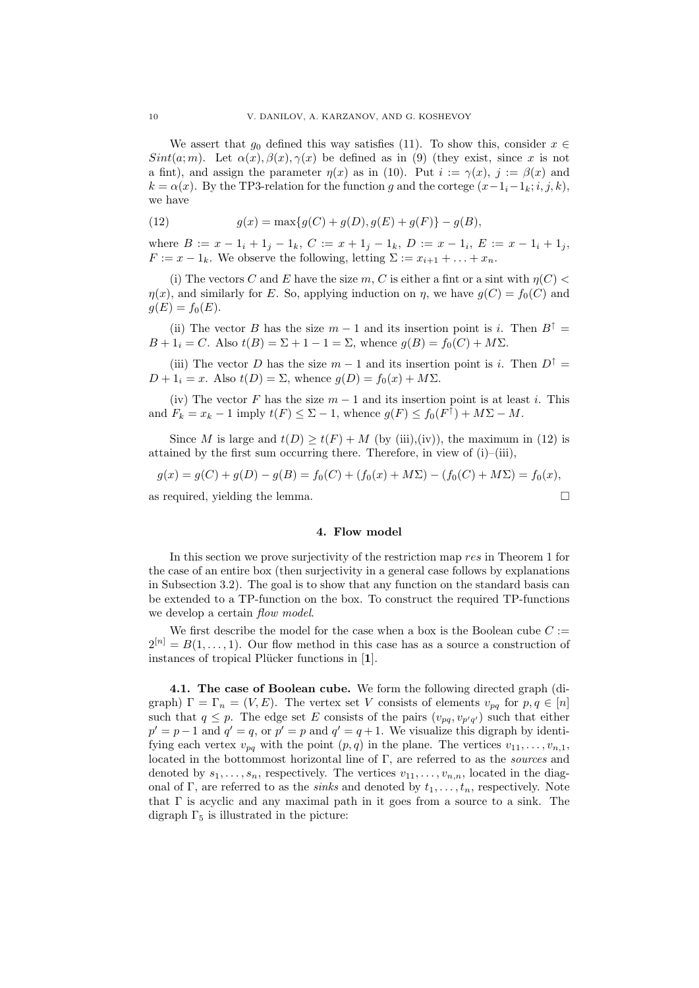We assert that  $g_0$  defined this way satisfies (11). To show this, consider  $x \in$ Sint(a; m). Let  $\alpha(x), \beta(x), \gamma(x)$  be defined as in (9) (they exist, since x is not a fint), and assign the parameter  $\eta(x)$  as in (10). Put  $i := \gamma(x)$ ,  $j := \beta(x)$  and  $k = \alpha(x)$ . By the TP3-relation for the function g and the cortege  $(x-1_i-1_k;i, j, k)$ , we have

(12) 
$$
g(x) = \max\{g(C) + g(D), g(E) + g(F)\} - g(B),
$$

where  $B := x - 1_i + 1_j - 1_k$ ,  $C := x + 1_j - 1_k$ ,  $D := x - 1_i$ ,  $E := x - 1_i + 1_j$ ,  $F := x - 1_k$ . We observe the following, letting  $\Sigma := x_{i+1} + \ldots + x_n$ .

(i) The vectors C and E have the size m, C is either a fint or a sint with  $\eta(C)$  $\eta(x)$ , and similarly for E. So, applying induction on  $\eta$ , we have  $g(C) = f_0(C)$  and  $g(E) = f_0(E)$ .

(ii) The vector B has the size  $m-1$  and its insertion point is i. Then  $B^{\uparrow}$  $B + 1_i = C$ . Also  $t(B) = \Sigma + 1 - 1 = \Sigma$ , whence  $g(B) = f_0(C) + M\Sigma$ .

(iii) The vector D has the size  $m-1$  and its insertion point is i. Then  $D^{\uparrow}$  $D+1_i=x$ . Also  $t(D)=\Sigma$ , whence  $g(D)=f_0(x)+M\Sigma$ .

(iv) The vector F has the size  $m-1$  and its insertion point is at least i. This and  $F_k = x_k - 1$  imply  $t(F) \le \Sigma - 1$ , whence  $g(F) \le f_0(F^{\uparrow}) + M\Sigma - M$ .

Since M is large and  $t(D) \ge t(F) + M$  (by (iii),(iv)), the maximum in (12) is attained by the first sum occurring there. Therefore, in view of  $(i)$ – $(iii)$ ,

$$
g(x) = g(C) + g(D) - g(B) = f_0(C) + (f_0(x) + M\Sigma) - (f_0(C) + M\Sigma) = f_0(x),
$$

as required, yielding the lemma.  $\Box$ 

## 4. Flow model

In this section we prove surjectivity of the restriction map res in Theorem 1 for the case of an entire box (then surjectivity in a general case follows by explanations in Subsection 3.2). The goal is to show that any function on the standard basis can be extended to a TP-function on the box. To construct the required TP-functions we develop a certain flow model.

We first describe the model for the case when a box is the Boolean cube  $C :=$  $2^{[n]} = B(1,\ldots,1)$ . Our flow method in this case has as a source a construction of instances of tropical Plücker functions in  $[1]$ .

4.1. The case of Boolean cube. We form the following directed graph (digraph)  $\Gamma = \Gamma_n = (V, E)$ . The vertex set V consists of elements  $v_{pq}$  for  $p, q \in [n]$ such that  $q \leq p$ . The edge set E consists of the pairs  $(v_{pq}, v_{p'q'})$  such that either  $p' = p - 1$  and  $q' = q$ , or  $p' = p$  and  $q' = q + 1$ . We visualize this digraph by identifying each vertex  $v_{pq}$  with the point  $(p, q)$  in the plane. The vertices  $v_{11}, \ldots, v_{n,1}$ , located in the bottommost horizontal line of Γ, are referred to as the sources and denoted by  $s_1, \ldots, s_n$ , respectively. The vertices  $v_{11}, \ldots, v_{n,n}$ , located in the diagonal of Γ, are referred to as the *sinks* and denoted by  $t_1, \ldots, t_n$ , respectively. Note that Γ is acyclic and any maximal path in it goes from a source to a sink. The digraph  $\Gamma_5$  is illustrated in the picture: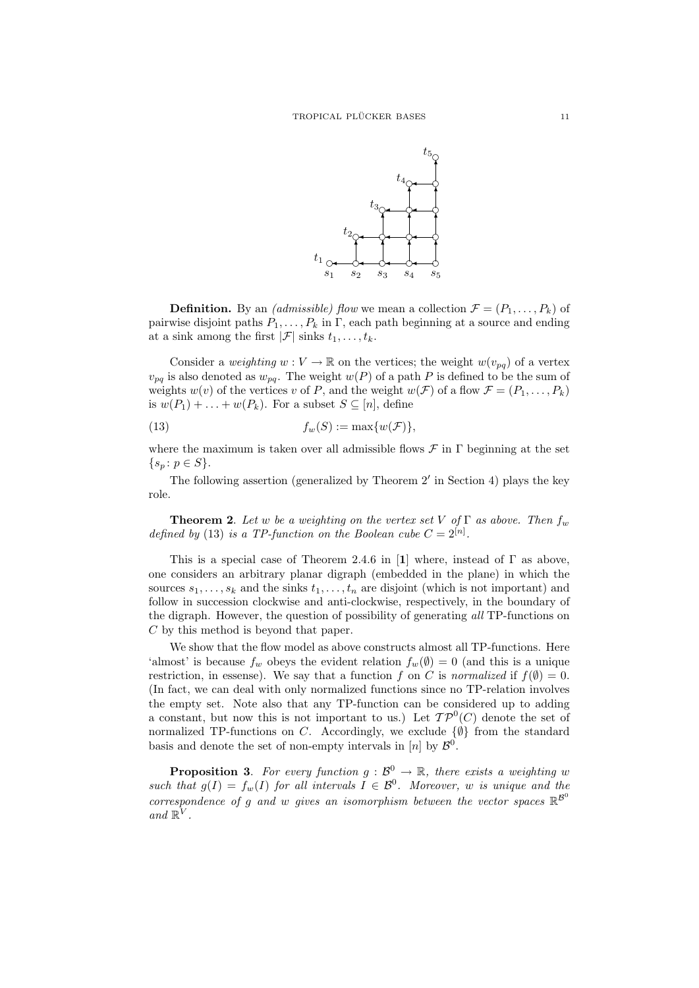

**Definition.** By an *(admissible)* flow we mean a collection  $\mathcal{F} = (P_1, \ldots, P_k)$  of pairwise disjoint paths  $P_1, \ldots, P_k$  in Γ, each path beginning at a source and ending at a sink among the first  $|\mathcal{F}|$  sinks  $t_1, \ldots, t_k$ .

Consider a *weighting*  $w : V \to \mathbb{R}$  on the vertices; the weight  $w(v_{pq})$  of a vertex  $v_{pq}$  is also denoted as  $w_{pq}$ . The weight  $w(P)$  of a path P is defined to be the sum of weights  $w(v)$  of the vertices v of P, and the weight  $w(\mathcal{F})$  of a flow  $\mathcal{F} = (P_1, \ldots, P_k)$ is  $w(P_1) + \ldots + w(P_k)$ . For a subset  $S \subseteq [n]$ , define

(13) 
$$
f_w(S) := \max\{w(\mathcal{F})\},\
$$

where the maximum is taken over all admissible flows  $\mathcal F$  in  $\Gamma$  beginning at the set  $\{s_n : p \in S\}.$ 

The following assertion (generalized by Theorem  $2'$  in Section 4) plays the key role.

**Theorem 2.** Let w be a weighting on the vertex set V of  $\Gamma$  as above. Then  $f_w$ defined by (13) is a TP-function on the Boolean cube  $C = 2^{[n]}$ .

This is a special case of Theorem 2.4.6 in [1] where, instead of  $\Gamma$  as above, one considers an arbitrary planar digraph (embedded in the plane) in which the sources  $s_1, \ldots, s_k$  and the sinks  $t_1, \ldots, t_n$  are disjoint (which is not important) and follow in succession clockwise and anti-clockwise, respectively, in the boundary of the digraph. However, the question of possibility of generating all TP-functions on C by this method is beyond that paper.

We show that the flow model as above constructs almost all TP-functions. Here 'almost' is because  $f_w$  obeys the evident relation  $f_w(\emptyset) = 0$  (and this is a unique restriction, in essense). We say that a function f on C is normalized if  $f(\emptyset) = 0$ . (In fact, we can deal with only normalized functions since no TP-relation involves the empty set. Note also that any TP-function can be considered up to adding a constant, but now this is not important to us.) Let  $\mathcal{TP}^0(C)$  denote the set of normalized TP-functions on C. Accordingly, we exclude  $\{\emptyset\}$  from the standard basis and denote the set of non-empty intervals in [n] by  $\mathcal{B}^0$ .

**Proposition 3.** For every function  $g : \mathcal{B}^0 \to \mathbb{R}$ , there exists a weighting w such that  $g(I) = f_w(I)$  for all intervals  $I \in \mathcal{B}^0$ . Moreover, w is unique and the correspondence of g and w gives an isomorphism between the vector spaces  $\mathbb{R}^{\mathcal{B}^0}$ and  $\mathbb{R}^V$ .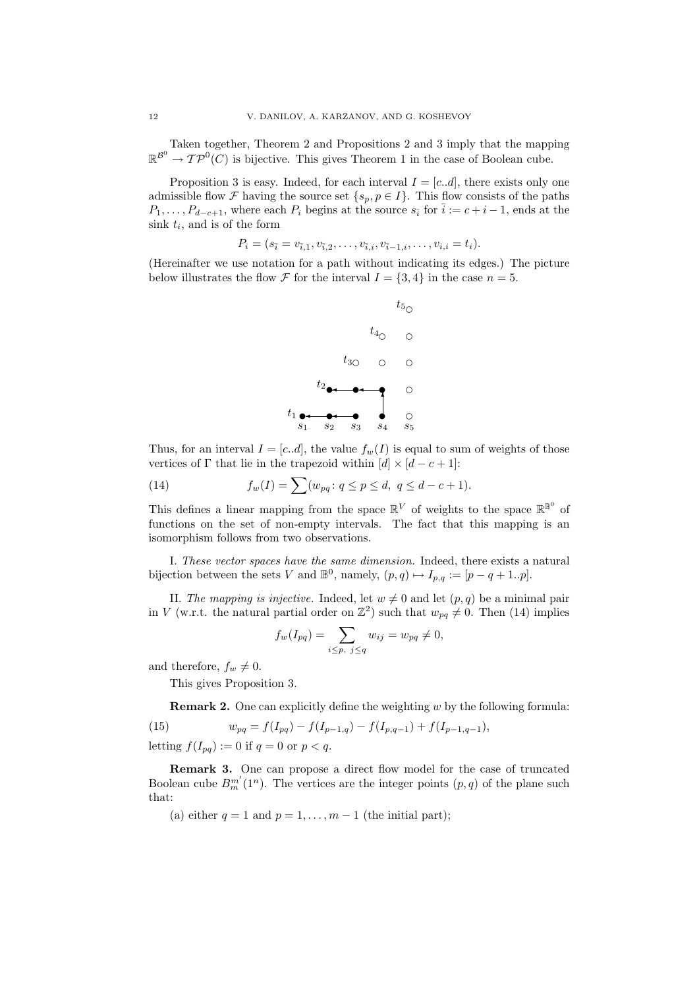Taken together, Theorem 2 and Propositions 2 and 3 imply that the mapping  $\mathbb{R}^{\mathcal{B}^0} \to \mathcal{TP}^0(C)$  is bijective. This gives Theorem 1 in the case of Boolean cube.

Proposition 3 is easy. Indeed, for each interval  $I = [c..d]$ , there exists only one admissible flow F having the source set  $\{s_p, p \in I\}$ . This flow consists of the paths  $P_1, \ldots, P_{d-c+1}$ , where each  $P_i$  begins at the source  $s_{\bar{i}}$  for  $\bar{i} := c + i - 1$ , ends at the  $\sinh t_i$ , and is of the form

$$
P_i = (s_{\bar{i}} = v_{\bar{i},1}, v_{\bar{i},2}, \dots, v_{\bar{i},i}, v_{\bar{i}-1,i}, \dots, v_{i,i} = t_i).
$$

(Hereinafter we use notation for a path without indicating its edges.) The picture below illustrates the flow  $\mathcal F$  for the interval  $I = \{3, 4\}$  in the case  $n = 5$ .



Thus, for an interval  $I = [c..d]$ , the value  $f_w(I)$  is equal to sum of weights of those vertices of  $\Gamma$  that lie in the trapezoid within  $[d] \times [d - c + 1]$ :

(14) 
$$
f_w(I) = \sum (w_{pq}: q \le p \le d, q \le d - c + 1).
$$

This defines a linear mapping from the space  $\mathbb{R}^V$  of weights to the space  $\mathbb{R}^{\mathbb{B}^0}$  of functions on the set of non-empty intervals. The fact that this mapping is an isomorphism follows from two observations.

I. These vector spaces have the same dimension. Indeed, there exists a natural bijection between the sets V and  $\mathbb{B}^0$ , namely,  $(p,q) \mapsto I_{p,q} := [p - q + 1..p].$ 

II. The mapping is injective. Indeed, let  $w \neq 0$  and let  $(p, q)$  be a minimal pair in V (w.r.t. the natural partial order on  $\mathbb{Z}^2$ ) such that  $w_{pq} \neq 0$ . Then (14) implies

$$
f_w(I_{pq}) = \sum_{i \le p, \ j \le q} w_{ij} = w_{pq} \neq 0,
$$

and therefore,  $f_w \neq 0$ .

This gives Proposition 3.

Remark 2. One can explicitly define the weighting w by the following formula:

(15) 
$$
w_{pq} = f(I_{pq}) - f(I_{p-1,q}) - f(I_{p,q-1}) + f(I_{p-1,q-1}),
$$

letting  $f(I_{pq}) := 0$  if  $q = 0$  or  $p < q$ .

Remark 3. One can propose a direct flow model for the case of truncated Boolean cube  $B_m^{m'}(1^n)$ . The vertices are the integer points  $(p, q)$  of the plane such that:

(a) either  $q = 1$  and  $p = 1, \ldots, m - 1$  (the initial part);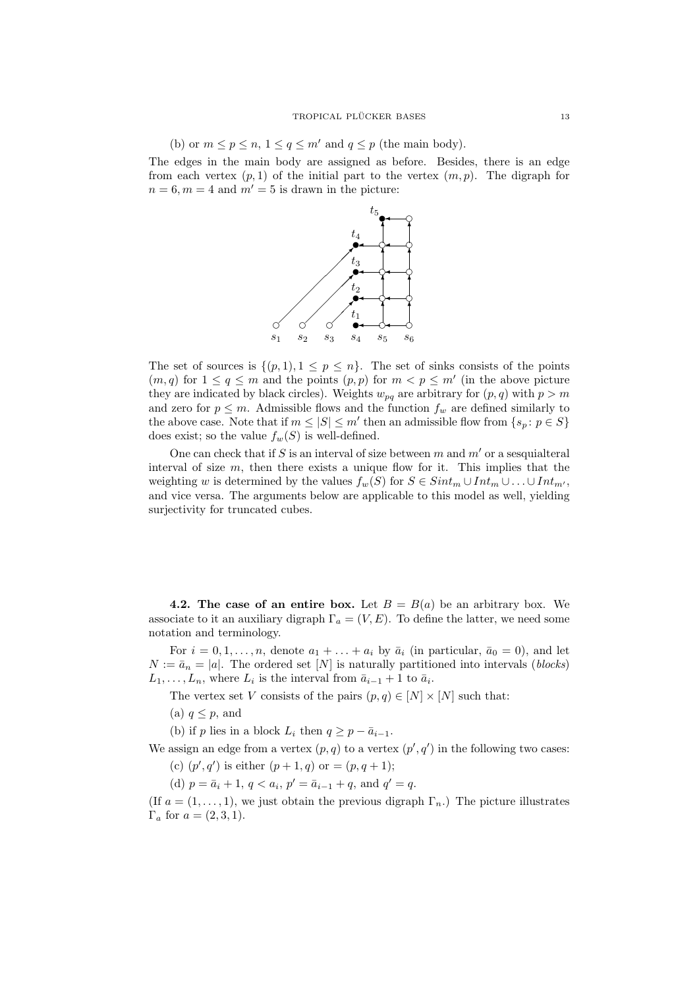(b) or  $m \leq p \leq n, 1 \leq q \leq m'$  and  $q \leq p$  (the main body).

The edges in the main body are assigned as before. Besides, there is an edge from each vertex  $(p, 1)$  of the initial part to the vertex  $(m, p)$ . The digraph for  $n = 6, m = 4$  and  $m' = 5$  is drawn in the picture:



The set of sources is  $\{(p, 1), 1 \le p \le n\}$ . The set of sinks consists of the points  $(m, q)$  for  $1 \leq q \leq m$  and the points  $(p, p)$  for  $m < p \leq m'$  (in the above picture they are indicated by black circles). Weights  $w_{pq}$  are arbitrary for  $(p, q)$  with  $p > m$ and zero for  $p \leq m$ . Admissible flows and the function  $f_w$  are defined similarly to the above case. Note that if  $m \leq |S| \leq m'$  then an admissible flow from  $\{s_p : p \in S\}$ does exist; so the value  $f_w(S)$  is well-defined.

One can check that if S is an interval of size between m and  $m'$  or a sesquialteral interval of size  $m$ , then there exists a unique flow for it. This implies that the weighting w is determined by the values  $f_w(S)$  for  $S \in Sint_m \cup Int_m \cup ... \cup Int_{m'}$ , and vice versa. The arguments below are applicable to this model as well, yielding surjectivity for truncated cubes.

4.2. The case of an entire box. Let  $B = B(a)$  be an arbitrary box. We associate to it an auxiliary digraph  $\Gamma_a = (V, E)$ . To define the latter, we need some notation and terminology.

For  $i = 0, 1, \ldots, n$ , denote  $a_1 + \ldots + a_i$  by  $\bar{a}_i$  (in particular,  $\bar{a}_0 = 0$ ), and let  $N := \bar{a}_n = |a|$ . The ordered set [N] is naturally partitioned into intervals (blocks)  $L_1, \ldots, L_n$ , where  $L_i$  is the interval from  $\bar{a}_{i-1} + 1$  to  $\bar{a}_i$ .

The vertex set V consists of the pairs  $(p, q) \in [N] \times [N]$  such that:

(a)  $q \leq p$ , and

(b) if p lies in a block  $L_i$  then  $q \geq p - \bar{a}_{i-1}$ .

We assign an edge from a vertex  $(p, q)$  to a vertex  $(p', q')$  in the following two cases:

(c)  $(p', q')$  is either  $(p + 1, q)$  or =  $(p, q + 1)$ ;

(d)  $p = \bar{a}_i + 1$ ,  $q < a_i$ ,  $p' = \bar{a}_{i-1} + q$ , and  $q' = q$ .

(If  $a = (1, \ldots, 1)$ , we just obtain the previous digraph  $\Gamma_n$ .) The picture illustrates Γ<sub>a</sub> for  $a = (2, 3, 1)$ .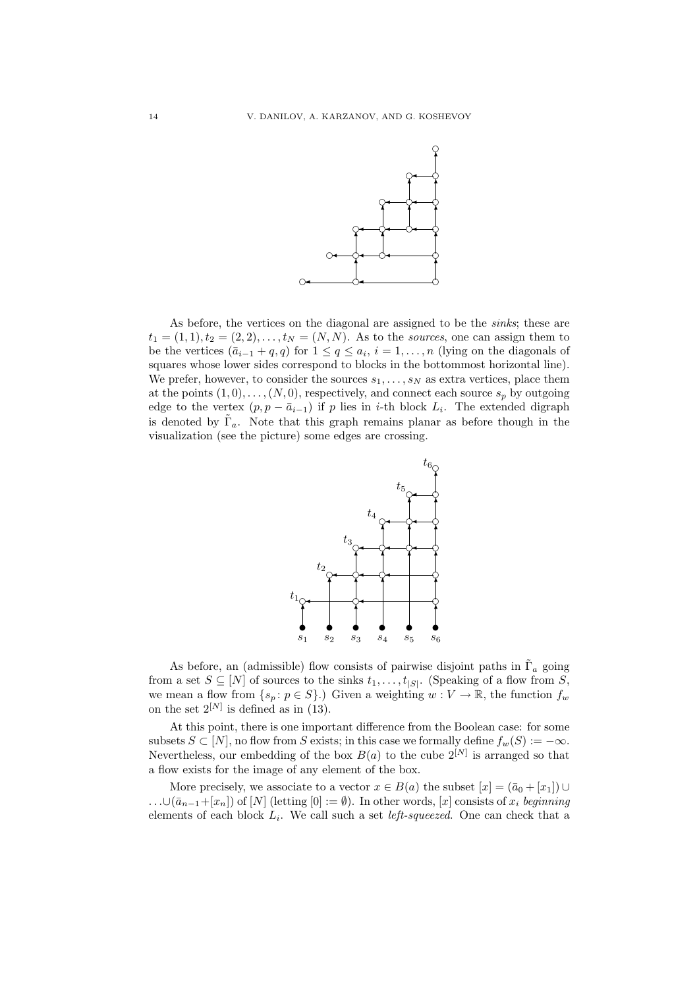

As before, the vertices on the diagonal are assigned to be the *sinks*; these are  $t_1 = (1, 1), t_2 = (2, 2), \ldots, t_N = (N, N)$ . As to the *sources*, one can assign them to be the vertices  $(\bar{a}_{i-1} + q, q)$  for  $1 \leq q \leq a_i$ ,  $i = 1, \ldots, n$  (lying on the diagonals of squares whose lower sides correspond to blocks in the bottommost horizontal line). We prefer, however, to consider the sources  $s_1, \ldots, s_N$  as extra vertices, place them at the points  $(1,0), \ldots, (N,0)$ , respectively, and connect each source  $s_p$  by outgoing edge to the vertex  $(p, p - \bar{a}_{i-1})$  if p lies in i-th block  $L_i$ . The extended digraph is denoted by  $\tilde{\Gamma}_a$ . Note that this graph remains planar as before though in the visualization (see the picture) some edges are crossing.



As before, an (admissible) flow consists of pairwise disjoint paths in  $\tilde{\Gamma}_a$  going from a set  $S \subseteq [N]$  of sources to the sinks  $t_1, \ldots, t_{|S|}$ . (Speaking of a flow from S, we mean a flow from  $\{s_p: p \in S\}$ .) Given a weighting  $w: V \to \mathbb{R}$ , the function  $f_w$ on the set  $2^{[N]}$  is defined as in (13).

At this point, there is one important difference from the Boolean case: for some subsets  $S \subset [N]$ , no flow from S exists; in this case we formally define  $f_w(S) := -\infty$ . Nevertheless, our embedding of the box  $B(a)$  to the cube  $2^{[N]}$  is arranged so that a flow exists for the image of any element of the box.

More precisely, we associate to a vector  $x \in B(a)$  the subset  $[x] = (\bar{a}_0 + [x_1]) \cup$ ...∪( $\bar{a}_{n-1}+[x_n]$ ) of [N] (letting [0] :=  $\emptyset$ ). In other words, [x] consists of  $x_i$  beginning elements of each block  $L_i$ . We call such a set *left-squeezed*. One can check that a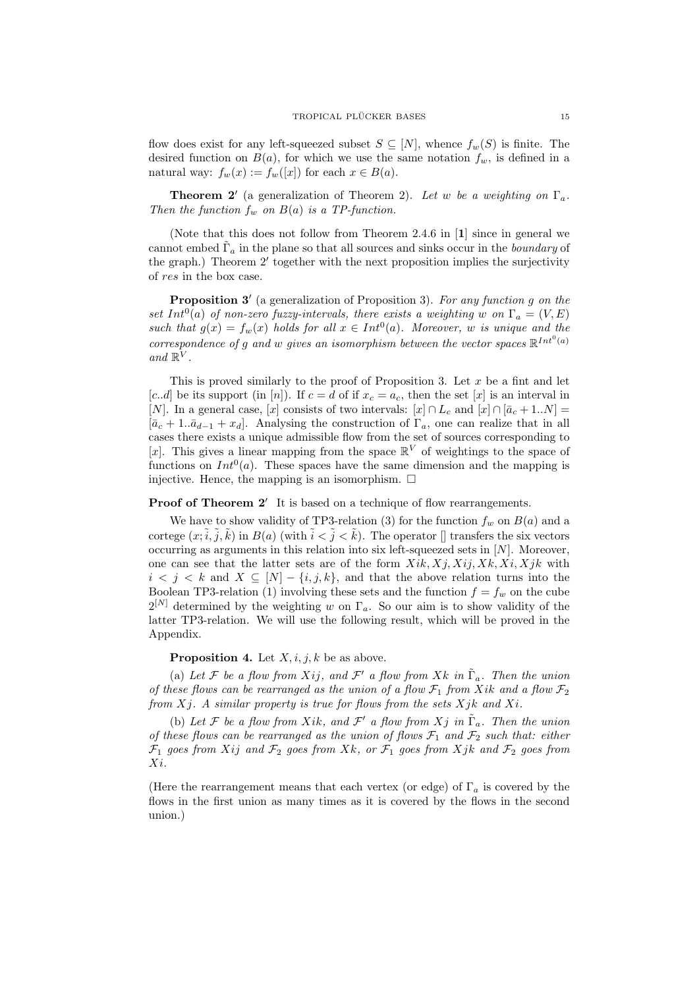flow does exist for any left-squeezed subset  $S \subseteq [N]$ , whence  $f_w(S)$  is finite. The desired function on  $B(a)$ , for which we use the same notation  $f_w$ , is defined in a natural way:  $f_w(x) := f_w([x])$  for each  $x \in B(a)$ .

**Theorem 2'** (a generalization of Theorem 2). Let w be a weighting on  $\Gamma_a$ . Then the function  $f_w$  on  $B(a)$  is a TP-function.

(Note that this does not follow from Theorem 2.4.6 in [1] since in general we cannot embed  $\tilde{\Gamma}_a$  in the plane so that all sources and sinks occur in the *boundary* of the graph.) Theorem  $2'$  together with the next proposition implies the surjectivity of res in the box case.

**Proposition 3'** (a generalization of Proposition 3). For any function g on the set Int<sup>0</sup>(a) of non-zero fuzzy-intervals, there exists a weighting w on  $\Gamma_a = (V, E)$ such that  $g(x) = f_w(x)$  holds for all  $x \in Int^0(a)$ . Moreover, w is unique and the correspondence of g and w gives an isomorphism between the vector spaces  $\mathbb{R}^{Int^{0}(a)}$ and  $\mathbb{R}^V$ .

This is proved similarly to the proof of Proposition 3. Let  $x$  be a fint and let [c.d] be its support (in [n]). If  $c = d$  of if  $x_c = a_c$ , then the set [x] is an interval in [N]. In a general case, [x] consists of two intervals:  $[x] \cap L_c$  and  $[x] \cap [\bar{a}_c + 1..N] =$  $[\bar{a}_c + 1..\bar{a}_{d-1} + x_d]$ . Analysing the construction of  $\Gamma_a$ , one can realize that in all cases there exists a unique admissible flow from the set of sources corresponding to [x]. This gives a linear mapping from the space  $\mathbb{R}^V$  of weightings to the space of functions on  $Int^0(a)$ . These spaces have the same dimension and the mapping is injective. Hence, the mapping is an isomorphism.  $\Box$ 

Proof of Theorem 2' It is based on a technique of flow rearrangements.

We have to show validity of TP3-relation (3) for the function  $f_w$  on  $B(a)$  and a cortege  $(x; \tilde{i}, \tilde{j}, \tilde{k})$  in  $B(a)$  (with  $\tilde{i} < \tilde{j} < \tilde{k}$ ). The operator  $\parallel$  transfers the six vectors occurring as arguments in this relation into six left-squeezed sets in  $[N]$ . Moreover, one can see that the latter sets are of the form  $Xik, Xj, Xij, Xk, Xi, Xjk$  with  $i < j < k$  and  $X \subseteq [N] - \{i, j, k\}$ , and that the above relation turns into the Boolean TP3-relation (1) involving these sets and the function  $f = f_w$  on the cube  $2^{[N]}$  determined by the weighting w on  $\Gamma_a$ . So our aim is to show validity of the latter TP3-relation. We will use the following result, which will be proved in the Appendix.

**Proposition 4.** Let  $X, i, j, k$  be as above.

(a) Let F be a flow from Xij, and  $\mathcal{F}'$  a flow from Xk in  $\tilde{\Gamma}_a$ . Then the union of these flows can be rearranged as the union of a flow  $\mathcal{F}_1$  from Xik and a flow  $\mathcal{F}_2$ from  $Xj$ . A similar property is true for flows from the sets  $Xjk$  and  $Xi$ .

(b) Let F be a flow from Xik, and F' a flow from Xj in  $\tilde{\Gamma}_a$ . Then the union of these flows can be rearranged as the union of flows  $\mathcal{F}_1$  and  $\mathcal{F}_2$  such that: either  $\mathcal{F}_1$  goes from Xij and  $\mathcal{F}_2$  goes from Xk, or  $\mathcal{F}_1$  goes from Xjk and  $\mathcal{F}_2$  goes from Xi.

(Here the rearrangement means that each vertex (or edge) of  $\Gamma_a$  is covered by the flows in the first union as many times as it is covered by the flows in the second union.)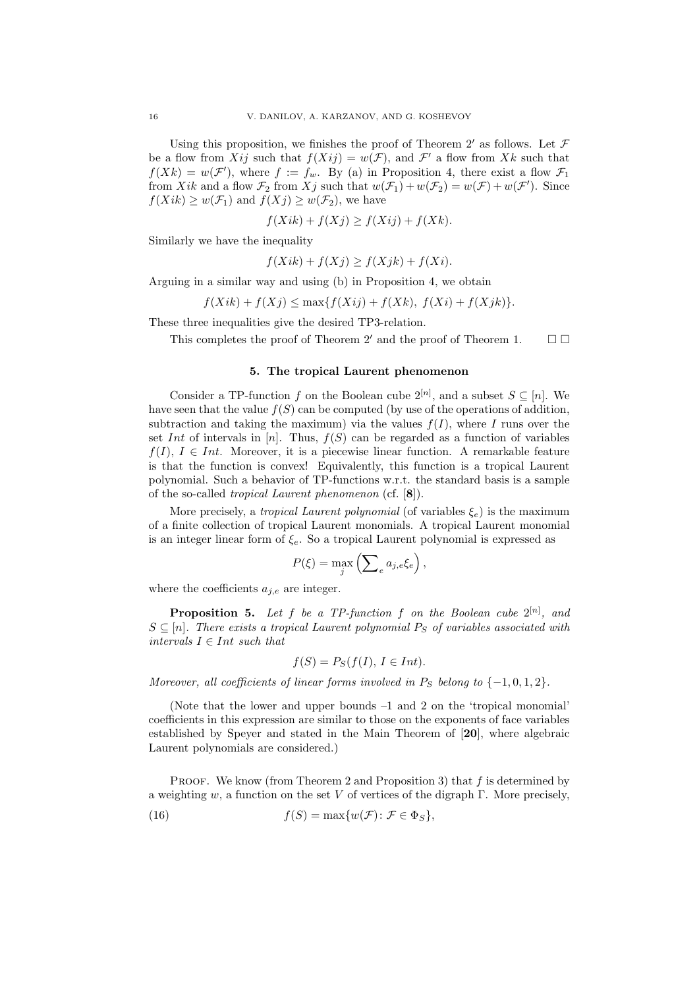Using this proposition, we finishes the proof of Theorem 2' as follows. Let  $\mathcal F$ be a flow from Xij such that  $f(Xij) = w(\mathcal{F})$ , and  $\mathcal{F}'$  a flow from Xk such that  $f(Xk) = w(\mathcal{F}')$ , where  $f := f_w$ . By (a) in Proposition 4, there exist a flow  $\mathcal{F}_1$ from Xik and a flow  $\mathcal{F}_2$  from Xj such that  $w(\mathcal{F}_1) + w(\mathcal{F}_2) = w(\mathcal{F}) + w(\mathcal{F}')$ . Since  $f(Xik) \geq w(\mathcal{F}_1)$  and  $f(Xj) \geq w(\mathcal{F}_2)$ , we have

$$
f(Xik) + f(Xj) \ge f(Xij) + f(Xk).
$$

Similarly we have the inequality

$$
f(Xik) + f(Xj) \ge f(Xjk) + f(Xi).
$$

Arguing in a similar way and using (b) in Proposition 4, we obtain

$$
f(Xik) + f(Xj) \le \max\{f(Xij) + f(Xk), f(Xi) + f(Xjk)\}.
$$

These three inequalities give the desired TP3-relation.

This completes the proof of Theorem 2' and the proof of Theorem 1.  $\Box$ 

### 5. The tropical Laurent phenomenon

Consider a TP-function f on the Boolean cube  $2^{[n]}$ , and a subset  $S \subseteq [n]$ . We have seen that the value  $f(S)$  can be computed (by use of the operations of addition, subtraction and taking the maximum) via the values  $f(I)$ , where I runs over the set Int of intervals in  $[n]$ . Thus,  $f(S)$  can be regarded as a function of variables  $f(I), I \in Int.$  Moreover, it is a piecewise linear function. A remarkable feature is that the function is convex! Equivalently, this function is a tropical Laurent polynomial. Such a behavior of TP-functions w.r.t. the standard basis is a sample of the so-called *tropical Laurent phenomenon* (cf.  $[8]$ ).

More precisely, a *tropical Laurent polynomial* (of variables  $\xi_e$ ) is the maximum of a finite collection of tropical Laurent monomials. A tropical Laurent monomial is an integer linear form of  $\xi_e$ . So a tropical Laurent polynomial is expressed as

$$
P(\xi) = \max_{j} \left( \sum_{e} a_{j,e} \xi_e \right),
$$

where the coefficients  $a_{i,e}$  are integer.

**Proposition 5.** Let f be a TP-function f on the Boolean cube  $2^{[n]}$ , and  $S \subseteq [n]$ . There exists a tropical Laurent polynomial  $P_S$  of variables associated with intervals  $I \in Int$  such that

$$
f(S) = P_S(f(I), I \in Int).
$$

Moreover, all coefficients of linear forms involved in  $P_S$  belong to  $\{-1,0,1,2\}$ .

(Note that the lower and upper bounds –1 and 2 on the 'tropical monomial' coefficients in this expression are similar to those on the exponents of face variables established by Speyer and stated in the Main Theorem of [20], where algebraic Laurent polynomials are considered.)

PROOF. We know (from Theorem 2 and Proposition 3) that f is determined by a weighting w, a function on the set V of vertices of the digraph  $\Gamma$ . More precisely,

(16) 
$$
f(S) = \max\{w(\mathcal{F}) : \mathcal{F} \in \Phi_S\},\
$$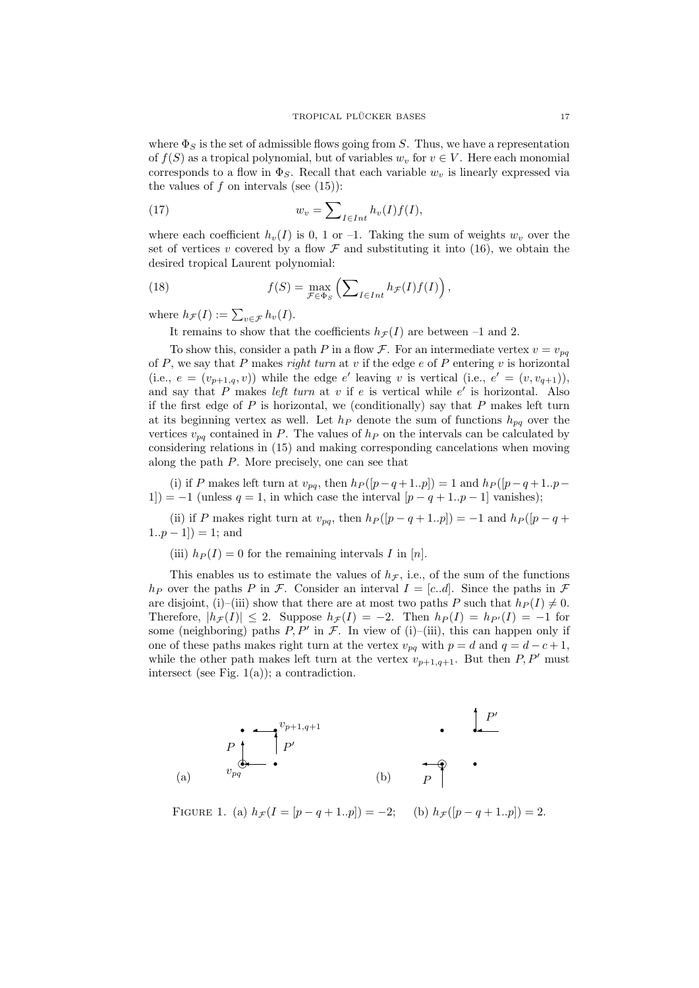where  $\Phi_S$  is the set of admissible flows going from S. Thus, we have a representation of  $f(S)$  as a tropical polynomial, but of variables  $w<sub>v</sub>$  for  $v \in V$ . Here each monomial corresponds to a flow in  $\Phi_S$ . Recall that each variable  $w_v$  is linearly expressed via the values of  $f$  on intervals (see  $(15)$ ):

(17) 
$$
w_v = \sum_{I \in Int} h_v(I) f(I),
$$

where each coefficient  $h_v(I)$  is 0, 1 or -1. Taking the sum of weights  $w_v$  over the set of vertices v covered by a flow  $\mathcal F$  and substituting it into (16), we obtain the desired tropical Laurent polynomial:

(18) 
$$
f(S) = \max_{\mathcal{F} \in \Phi_S} \left( \sum_{I \in Int} h_{\mathcal{F}}(I) f(I) \right),
$$

where  $h_{\mathcal{F}}(I) := \sum_{v \in \mathcal{F}} h_v(I)$ .

It remains to show that the coefficients  $h_{\mathcal{F}}(I)$  are between -1 and 2.

To show this, consider a path P in a flow F. For an intermediate vertex  $v = v_{pq}$ of  $P$ , we say that  $P$  makes *right turn* at  $v$  if the edge  $e$  of  $P$  entering  $v$  is horizontal (i.e.,  $e = (v_{p+1,q}, v)$ ) while the edge e' leaving v is vertical (i.e.,  $e' = (v, v_{q+1})$ ), and say that  $P$  makes left turn at  $v$  if  $e$  is vertical while  $e'$  is horizontal. Also if the first edge of  $P$  is horizontal, we (conditionally) say that  $P$  makes left turn at its beginning vertex as well. Let  $h_P$  denote the sum of functions  $h_{pq}$  over the vertices  $v_{pq}$  contained in P. The values of  $h_p$  on the intervals can be calculated by considering relations in (15) and making corresponding cancelations when moving along the path P. More precisely, one can see that

(i) if P makes left turn at  $v_{pq}$ , then  $h_P([p-q+1..p]) = 1$  and  $h_P([p-q+1..p] - 1$ . 1]) = −1 (unless  $q = 1$ , in which case the interval  $[p - q + 1..p - 1]$  vanishes);

(ii) if P makes right turn at  $v_{pq}$ , then  $h_P([p - q + 1..p]) = -1$  and  $h_P([p - q +$  $1..p-1]$ ) = 1; and

(iii)  $h_P(I) = 0$  for the remaining intervals I in [n].

This enables us to estimate the values of  $h_{\mathcal{F}}$ , i.e., of the sum of the functions  $h_P$  over the paths P in F. Consider an interval  $I = [c..d]$ . Since the paths in F are disjoint, (i)–(iii) show that there are at most two paths P such that  $h_P(I) \neq 0$ . Therefore,  $|h_{\mathcal{F}}(I)| \leq 2$ . Suppose  $h_{\mathcal{F}}(I) = -2$ . Then  $h_P(I) = h_{P'}(I) = -1$  for some (neighboring) paths  $P, P'$  in  $\mathcal F$ . In view of (i)–(iii), this can happen only if one of these paths makes right turn at the vertex  $v_{pq}$  with  $p = d$  and  $q = d - c + 1$ , while the other path makes left turn at the vertex  $v_{p+1,q+1}$ . But then P, P' must intersect (see Fig. 1(a)); a contradiction.

$$
P \downarrow P'
$$
\n(a) 
$$
v_{pq} \downarrow 0
$$
\n(b) 
$$
P
$$
\n(c) 
$$
P
$$
\n(d) 
$$
v_{pq}
$$
\n(e) 
$$
P
$$
\n(f) 
$$
P
$$
\n(g) 
$$
P
$$
\n(g) 
$$
P
$$
\n(g) 
$$
P
$$
\n(h) 
$$
P
$$
\n(i) 
$$
P
$$
\n(j) 
$$
P
$$
\n(j) 
$$
P
$$
\n(k) 
$$
P
$$
\n(k) 
$$
P
$$
\n(l) 
$$
P
$$
\n(l) 
$$
P
$$
\n(m) 
$$
P
$$
\n(m) 
$$
P
$$
\n(m) 
$$
P
$$
\n(m) 
$$
P
$$
\n(m) 
$$
P
$$
\n(m) 
$$
P
$$
\n(m) 
$$
P
$$
\n(m) 
$$
P
$$
\n(m) 
$$
P
$$
\n(m) 
$$
P
$$
\n(m) 
$$
P
$$
\n(m) 
$$
P
$$
\n(m) 
$$
P
$$
\n(m) 
$$
P
$$
\n(m) 
$$
P
$$
\n(m) 
$$
P
$$
\n(m) 
$$
P
$$
\n(m) 
$$
P
$$
\n(m) 
$$
P
$$
\n(m) 
$$
P
$$
\n(m) 
$$
P
$$
\n(m) 
$$
P
$$
\n(m) 
$$
P
$$
\n(m) 
$$
P
$$
\n(m) 
$$
P
$$
\n(m) 
$$
P
$$
\n(m) 
$$
P
$$
\n(m) 
$$
P
$$
\n(m) 
$$
P
$$
\n(m) 
$$
P
$$
\n(m) 
$$
P
$$
\n(m) 
$$
P
$$
\n(m) 
$$
P
$$
\n(m) 
$$
P
$$
\n(m) 
$$
P
$$
\n(m) 
$$
P
$$
\n(m) 
$$
P
$$
\n(m) 
$$
P
$$
\n(m) 
$$
P
$$
\n(m) 
$$
P
$$
\

FIGURE 1. (a)  $h_{\mathcal{F}}(I = [p - q + 1..p]) = -2;$  (b)  $h_{\mathcal{F}}([p - q + 1..p]) = 2.$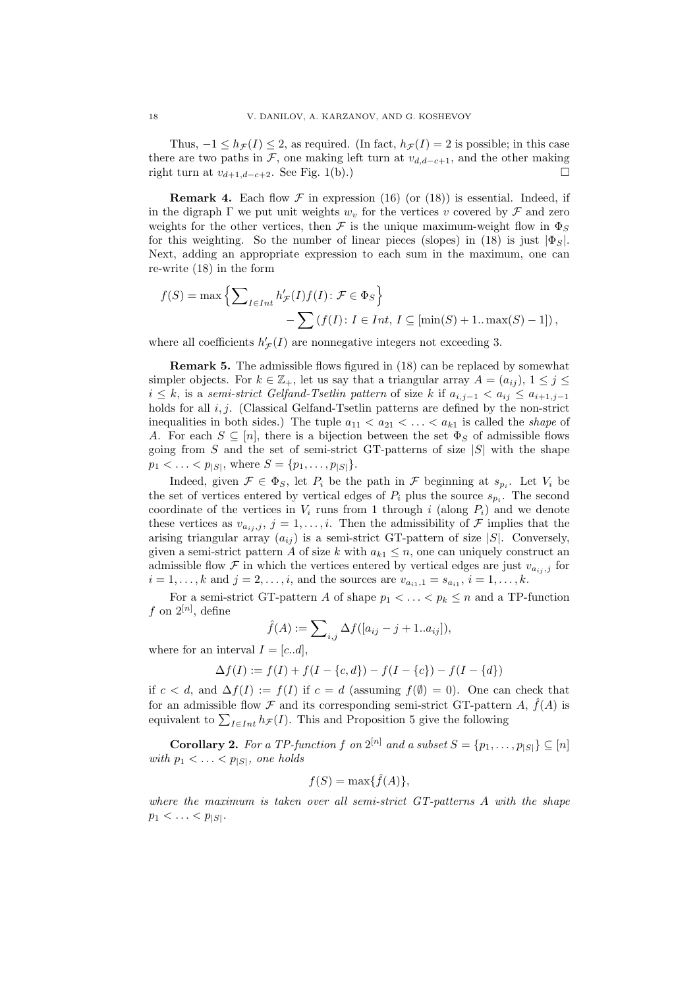Thus,  $-1 \leq h_{\mathcal{F}}(I) \leq 2$ , as required. (In fact,  $h_{\mathcal{F}}(I) = 2$  is possible; in this case there are two paths in  $\mathcal{F}$ , one making left turn at  $v_{d,d-c+1}$ , and the other making right turn at  $v_{d+1,d-c+2}$ . See Fig. 1(b).)

**Remark 4.** Each flow  $\mathcal F$  in expression (16) (or (18)) is essential. Indeed, if in the digraph  $\Gamma$  we put unit weights  $w_v$  for the vertices v covered by  $\mathcal F$  and zero weights for the other vertices, then  $\mathcal F$  is the unique maximum-weight flow in  $\Phi_S$ for this weighting. So the number of linear pieces (slopes) in (18) is just  $|\Phi_{\mathcal{S}}|$ . Next, adding an appropriate expression to each sum in the maximum, one can re-write (18) in the form

$$
f(S) = \max \left\{ \sum_{I \in Int} h'_{\mathcal{F}}(I) f(I) : \mathcal{F} \in \Phi_S \right\}
$$
  
- 
$$
\sum (f(I) : I \in Int, I \subseteq [\min(S) + 1..\max(S) - 1]),
$$

where all coefficients  $h'_{\mathcal{F}}(I)$  are nonnegative integers not exceeding 3.

Remark 5. The admissible flows figured in (18) can be replaced by somewhat simpler objects. For  $k \in \mathbb{Z}_+$ , let us say that a triangular array  $A = (a_{ij})$ ,  $1 \leq j \leq$  $i \leq k$ , is a semi-strict Gelfand-Tsetlin pattern of size k if  $a_{i,j-1} < a_{ij} \leq a_{i+1,j-1}$ holds for all  $i, j$ . (Classical Gelfand-Tsetlin patterns are defined by the non-strict inequalities in both sides.) The tuple  $a_{11} < a_{21} < \ldots < a_{k1}$  is called the *shape* of A. For each  $S \subseteq [n]$ , there is a bijection between the set  $\Phi_S$  of admissible flows going from  $S$  and the set of semi-strict GT-patterns of size  $|S|$  with the shape  $p_1 < \ldots < p_{|S|}$ , where  $S = \{p_1, \ldots, p_{|S|}\}.$ 

Indeed, given  $\mathcal{F} \in \Phi_S$ , let  $P_i$  be the path in  $\mathcal F$  beginning at  $s_{p_i}$ . Let  $V_i$  be the set of vertices entered by vertical edges of  $P_i$  plus the source  $s_{p_i}$ . The second coordinate of the vertices in  $V_i$  runs from 1 through i (along  $P_i$ ) and we denote these vertices as  $v_{a_{ij},j}$ ,  $j = 1, \ldots, i$ . Then the admissibility of  $\mathcal F$  implies that the arising triangular array  $(a_{ij})$  is a semi-strict GT-pattern of size |S|. Conversely, given a semi-strict pattern A of size k with  $a_{k1} \leq n$ , one can uniquely construct an admissible flow  $\mathcal F$  in which the vertices entered by vertical edges are just  $v_{a_{ij},j}$  for  $i = 1, ..., k$  and  $j = 2, ..., i$ , and the sources are  $v_{a_{i1},1} = s_{a_{i1}}, i = 1, ..., k$ .

For a semi-strict GT-pattern A of shape  $p_1 < \ldots < p_k \le n$  and a TP-function f on  $2^{[n]}$ , define

$$
\hat{f}(A) := \sum_{i,j} \Delta f([a_{ij} - j + 1..a_{ij}]),
$$

where for an interval  $I = [c..d]$ ,

$$
\Delta f(I) := f(I) + f(I - \{c, d\}) - f(I - \{c\}) - f(I - \{d\})
$$

if  $c < d$ , and  $\Delta f(I) := f(I)$  if  $c = d$  (assuming  $f(\emptyset) = 0$ ). One can check that for an admissible flow  $\mathcal F$  and its corresponding semi-strict GT-pattern A,  $\hat f(A)$  is equivalent to  $\sum_{I \in Int} h_{\mathcal{F}}(I)$ . This and Proposition 5 give the following

**Corollary 2.** For a TP-function f on  $2^{[n]}$  and a subset  $S = \{p_1, \ldots, p_{|S|}\} \subseteq [n]$ with  $p_1 < \ldots < p_{|S|}$ , one holds

$$
f(S) = \max\{\hat{f}(A)\},\
$$

where the maximum is taken over all semi-strict GT-patterns A with the shape  $p_1 < \ldots < p_{|S|}.$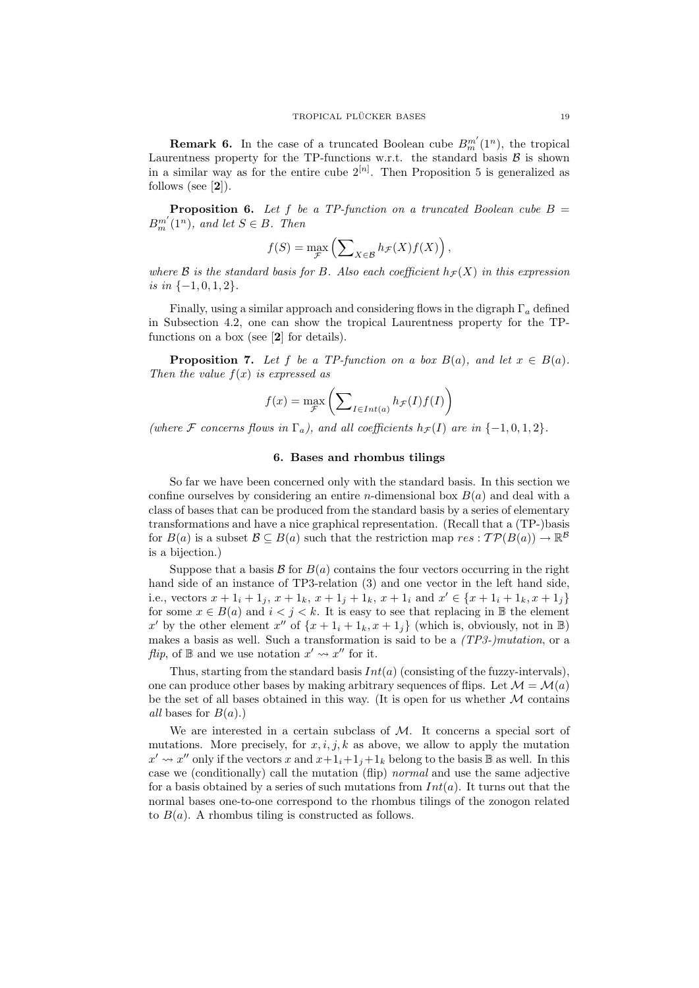**Remark 6.** In the case of a truncated Boolean cube  $B_m^{m'}(1^n)$ , the tropical Laurentness property for the TP-functions w.r.t. the standard basis  $\beta$  is shown in a similar way as for the entire cube  $2^{[n]}$ . Then Proposition 5 is generalized as follows (see  $[2]$ ).

**Proposition 6.** Let f be a TP-function on a truncated Boolean cube  $B =$  $B_m^{m'}(1^n)$ , and let  $S \in B$ . Then

$$
f(S) = \max_{\mathcal{F}} \left( \sum_{X \in \mathcal{B}} h_{\mathcal{F}}(X) f(X) \right),
$$

where B is the standard basis for B. Also each coefficient  $h_{\mathcal{F}}(X)$  in this expression is in  $\{-1, 0, 1, 2\}$ .

Finally, using a similar approach and considering flows in the digraph  $\Gamma_a$  defined in Subsection 4.2, one can show the tropical Laurentness property for the TPfunctions on a box (see [2] for details).

**Proposition 7.** Let f be a TP-function on a box  $B(a)$ , and let  $x \in B(a)$ . Then the value  $f(x)$  is expressed as

$$
f(x) = \max_{\mathcal{F}} \left( \sum\nolimits_{I \in Int(a)} h_{\mathcal{F}}(I) f(I) \right)
$$

(where F concerns flows in  $\Gamma_a$ ), and all coefficients  $h_{\mathcal{F}}(I)$  are in {-1,0,1,2}.

## 6. Bases and rhombus tilings

So far we have been concerned only with the standard basis. In this section we confine ourselves by considering an entire *n*-dimensional box  $B(a)$  and deal with a class of bases that can be produced from the standard basis by a series of elementary transformations and have a nice graphical representation. (Recall that a (TP-)basis for  $B(a)$  is a subset  $\mathcal{B} \subseteq B(a)$  such that the restriction map  $res: \mathcal{TP}(B(a)) \to \mathbb{R}^{\mathcal{B}}$ is a bijection.)

Suppose that a basis  $\mathcal{B}$  for  $B(a)$  contains the four vectors occurring in the right hand side of an instance of TP3-relation (3) and one vector in the left hand side, i.e., vectors  $x + 1_i + 1_j$ ,  $x + 1_k$ ,  $x + 1_j + 1_k$ ,  $x + 1_i$  and  $x' \in \{x + 1_i + 1_k, x + 1_j\}$ for some  $x \in B(a)$  and  $i < j < k$ . It is easy to see that replacing in B the element x' by the other element x'' of  $\{x+1_i+1_k, x+1_j\}$  (which is, obviously, not in B) makes a basis as well. Such a transformation is said to be a  $(TP3-)mutation$ , or a flip, of  $\mathbb B$  and we use notation  $x' \leadsto x''$  for it.

Thus, starting from the standard basis  $Int(a)$  (consisting of the fuzzy-intervals), one can produce other bases by making arbitrary sequences of flips. Let  $\mathcal{M} = \mathcal{M}(a)$ be the set of all bases obtained in this way. (It is open for us whether  $M$  contains *all* bases for  $B(a)$ .)

We are interested in a certain subclass of  $M$ . It concerns a special sort of mutations. More precisely, for  $x, i, j, k$  as above, we allow to apply the mutation  $x' \rightsquigarrow x''$  only if the vectors x and  $x+1_i+1_j+1_k$  belong to the basis B as well. In this case we (conditionally) call the mutation (flip) normal and use the same adjective for a basis obtained by a series of such mutations from  $Int(a)$ . It turns out that the normal bases one-to-one correspond to the rhombus tilings of the zonogon related to  $B(a)$ . A rhombus tiling is constructed as follows.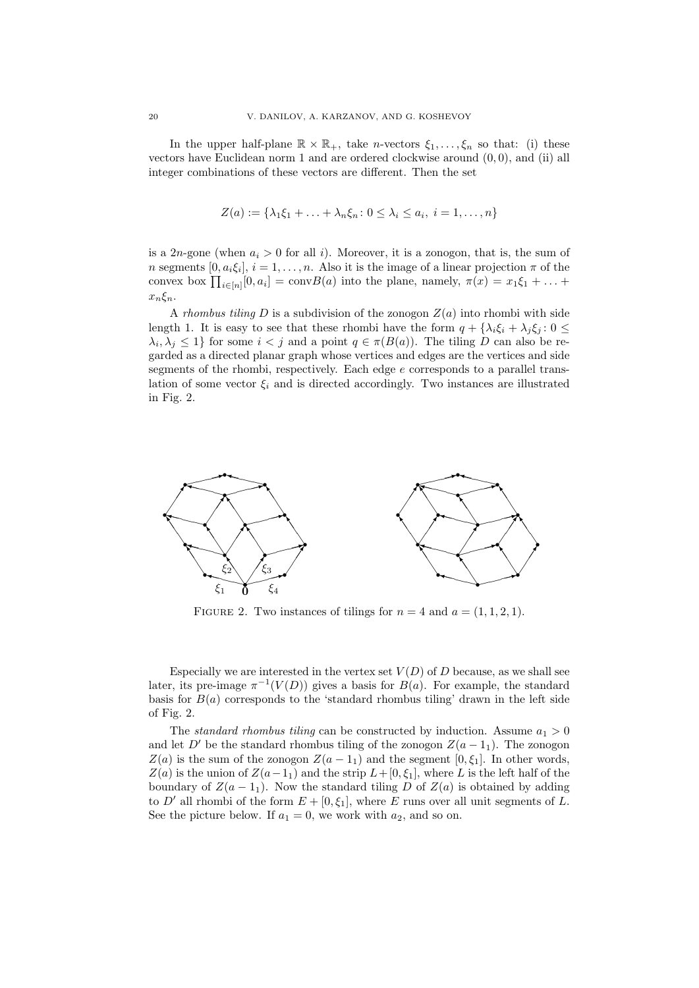In the upper half-plane  $\mathbb{R} \times \mathbb{R}_+$ , take *n*-vectors  $\xi_1, \ldots, \xi_n$  so that: (i) these vectors have Euclidean norm 1 and are ordered clockwise around  $(0, 0)$ , and (ii) all integer combinations of these vectors are different. Then the set

$$
Z(a) := \{ \lambda_1 \xi_1 + \ldots + \lambda_n \xi_n : 0 \le \lambda_i \le a_i, \ i = 1, \ldots, n \}
$$

is a 2n-gone (when  $a_i > 0$  for all i). Moreover, it is a zonogon, that is, the sum of *n* segments  $[0, a_i \xi_i], i = 1, \ldots, n$ . Also it is the image of a linear projection  $\pi$  of the convex box  $\prod_{i \in [n]} [0, a_i] = \text{conv } B(a)$  into the plane, namely,  $\pi(x) = x_1 \xi_1 + \ldots +$  $x_n\xi_n$ .

A *rhombus tiling*  $D$  is a subdivision of the zonogon  $Z(a)$  into rhombi with side length 1. It is easy to see that these rhombi have the form  $q + {\lambda_i \xi_i + \lambda_j \xi_j : 0 \leq \lambda_i \xi_j \xi_j}$  $\lambda_i, \lambda_j \leq 1$  for some  $i < j$  and a point  $q \in \pi(B(a))$ . The tiling D can also be regarded as a directed planar graph whose vertices and edges are the vertices and side segments of the rhombi, respectively. Each edge  $e$  corresponds to a parallel translation of some vector  $\xi_i$  and is directed accordingly. Two instances are illustrated in Fig. 2.



FIGURE 2. Two instances of tilings for  $n = 4$  and  $a = (1, 1, 2, 1)$ .

Especially we are interested in the vertex set  $V(D)$  of D because, as we shall see later, its pre-image  $\pi^{-1}(V(D))$  gives a basis for  $B(a)$ . For example, the standard basis for  $B(a)$  corresponds to the 'standard rhombus tiling' drawn in the left side of Fig. 2.

The *standard rhombus tiling* can be constructed by induction. Assume  $a_1 > 0$ and let D' be the standard rhombus tiling of the zonogon  $Z(a - 1<sub>1</sub>)$ . The zonogon  $Z(a)$  is the sum of the zonogon  $Z(a-1<sub>1</sub>)$  and the segment [0,  $\xi_1$ ]. In other words,  $Z(a)$  is the union of  $Z(a-1<sub>1</sub>)$  and the strip  $L+[0, \xi<sub>1</sub>]$ , where L is the left half of the boundary of  $Z(a-1)$ . Now the standard tiling D of  $Z(a)$  is obtained by adding to D' all rhombi of the form  $E + [0, \xi_1]$ , where E runs over all unit segments of L. See the picture below. If  $a_1 = 0$ , we work with  $a_2$ , and so on.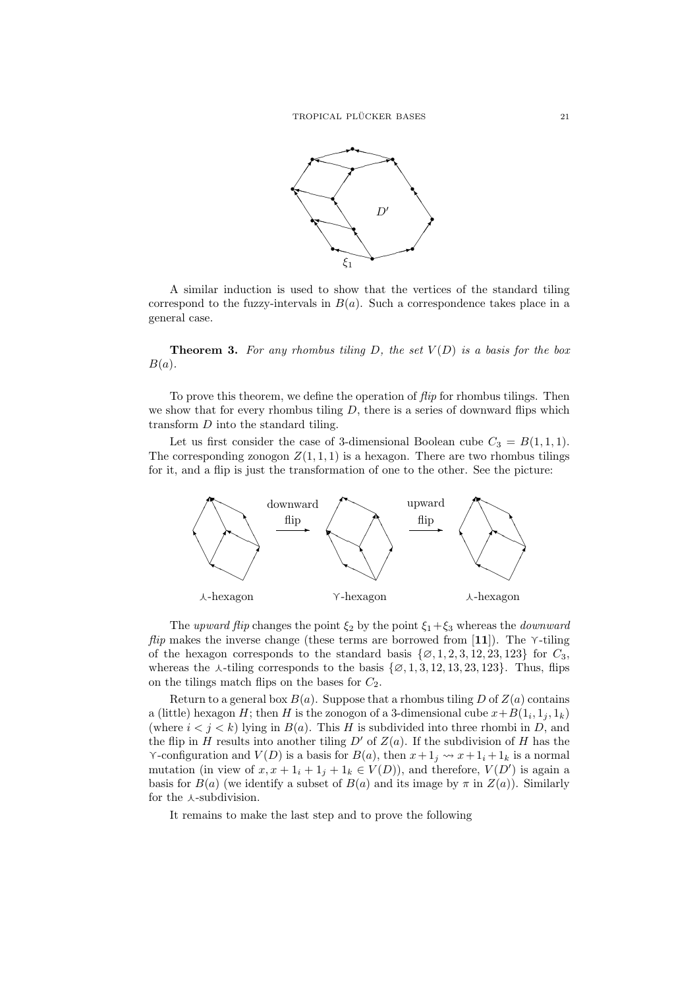

A similar induction is used to show that the vertices of the standard tiling correspond to the fuzzy-intervals in  $B(a)$ . Such a correspondence takes place in a general case.

**Theorem 3.** For any rhombus tiling D, the set  $V(D)$  is a basis for the box  $B(a).$ 

To prove this theorem, we define the operation of flip for rhombus tilings. Then we show that for every rhombus tiling  $D$ , there is a series of downward flips which transform D into the standard tiling.

Let us first consider the case of 3-dimensional Boolean cube  $C_3 = B(1,1,1)$ . The corresponding zonogon  $Z(1,1,1)$  is a hexagon. There are two rhombus tilings for it, and a flip is just the transformation of one to the other. See the picture:



The upward flip changes the point  $\xi_2$  by the point  $\xi_1+\xi_3$  whereas the *downward* flip makes the inverse change (these terms are borrowed from [11]). The  $\gamma$ -tiling of the hexagon corresponds to the standard basis  $\{\emptyset, 1, 2, 3, 12, 23, 123\}$  for  $C_3$ , whereas the  $\lambda$ -tiling corresponds to the basis  $\{\emptyset, 1, 3, 12, 13, 23, 123\}$ . Thus, flips on the tilings match flips on the bases for  $C_2$ .

Return to a general box  $B(a)$ . Suppose that a rhombus tiling D of  $Z(a)$  contains a (little) hexagon H; then H is the zonogon of a 3-dimensional cube  $x+B(1_i, 1_j, 1_k)$ (where  $i < j < k$ ) lying in  $B(a)$ . This H is subdivided into three rhombi in D, and the flip in H results into another tiling  $D'$  of  $Z(a)$ . If the subdivision of H has the  $\gamma$ -configuration and  $V(D)$  is a basis for  $B(a)$ , then  $x+1_j \rightsquigarrow x+1_i + 1_k$  is a normal mutation (in view of  $x, x + 1_i + 1_j + 1_k \in V(D)$ ), and therefore,  $V(D')$  is again a basis for  $B(a)$  (we identify a subset of  $B(a)$  and its image by  $\pi$  in  $Z(a)$ ). Similarly for the  $\lambda$ -subdivision.

It remains to make the last step and to prove the following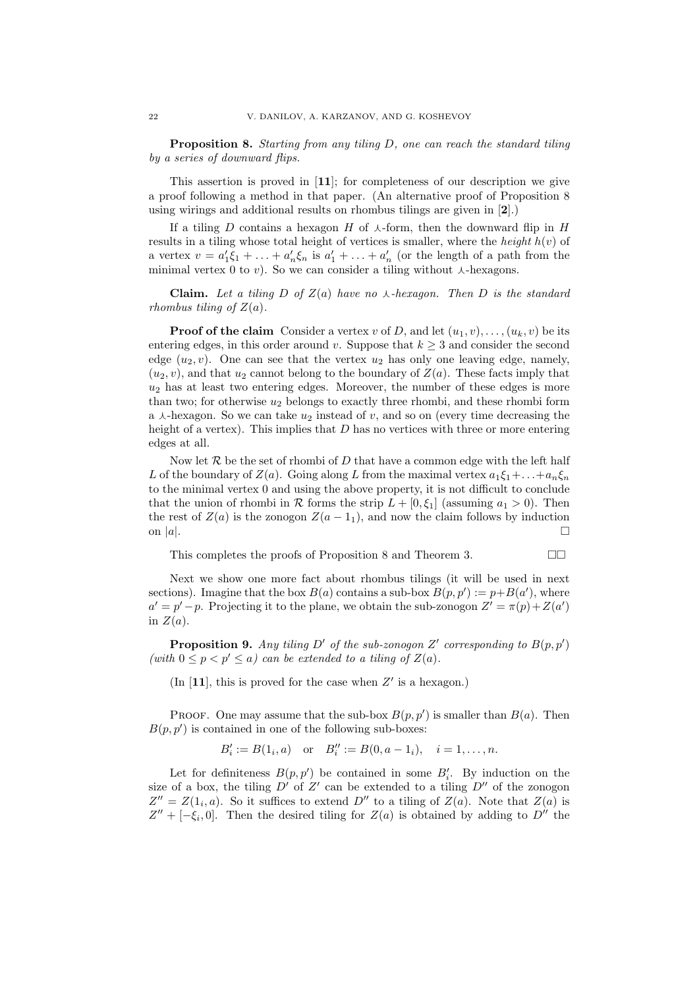Proposition 8. Starting from any tiling D, one can reach the standard tiling by a series of downward flips.

This assertion is proved in [11]; for completeness of our description we give a proof following a method in that paper. (An alternative proof of Proposition 8 using wirings and additional results on rhombus tilings are given in [2].)

If a tiling D contains a hexagon H of  $\lambda$ -form, then the downward flip in H results in a tiling whose total height of vertices is smaller, where the *height*  $h(v)$  of a vertex  $v = a'_1 \xi_1 + \ldots + a'_n \xi_n$  is  $a'_1 + \ldots + a'_n$  (or the length of a path from the minimal vertex 0 to v). So we can consider a tiling without  $\lambda$ -hexagons.

**Claim.** Let a tiling D of  $Z(a)$  have no  $\lambda$ -hexagon. Then D is the standard rhombus tiling of  $Z(a)$ .

**Proof of the claim** Consider a vertex v of D, and let  $(u_1, v), \ldots, (u_k, v)$  be its entering edges, in this order around v. Suppose that  $k \geq 3$  and consider the second edge  $(u_2, v)$ . One can see that the vertex  $u_2$  has only one leaving edge, namely,  $(u_2, v)$ , and that  $u_2$  cannot belong to the boundary of  $Z(a)$ . These facts imply that  $u_2$  has at least two entering edges. Moreover, the number of these edges is more than two; for otherwise  $u_2$  belongs to exactly three rhombi, and these rhombi form a  $\lambda$ -hexagon. So we can take  $u_2$  instead of v, and so on (every time decreasing the height of a vertex). This implies that  $D$  has no vertices with three or more entering edges at all.

Now let  $R$  be the set of rhombi of D that have a common edge with the left half L of the boundary of  $Z(a)$ . Going along L from the maximal vertex  $a_1\xi_1+\ldots+a_n\xi_n$ to the minimal vertex 0 and using the above property, it is not difficult to conclude that the union of rhombi in R forms the strip  $L + [0, \xi_1]$  (assuming  $a_1 > 0$ ). Then the rest of  $Z(a)$  is the zonogon  $Z(a-1<sub>1</sub>)$ , and now the claim follows by induction on  $|a|$ .

This completes the proofs of Proposition 8 and Theorem 3.

Next we show one more fact about rhombus tilings (it will be used in next sections). Imagine that the box  $B(a)$  contains a sub-box  $B(p, p') := p + B(a')$ , where  $a' = p' - p$ . Projecting it to the plane, we obtain the sub-zonogon  $Z' = \pi(p) + Z(a')$ in  $Z(a)$ .

**Proposition 9.** Any tiling D' of the sub-zonogon Z' corresponding to  $B(p, p')$ (with  $0 \le p \le p' \le a$ ) can be extended to a tiling of  $Z(a)$ .

(In [11], this is proved for the case when  $Z'$  is a hexagon.)

PROOF. One may assume that the sub-box  $B(p, p')$  is smaller than  $B(a)$ . Then  $B(p, p')$  is contained in one of the following sub-boxes:

$$
B'_i := B(1_i, a)
$$
 or  $B''_i := B(0, a - 1_i), i = 1, ..., n.$ 

Let for definiteness  $B(p, p')$  be contained in some  $B'_i$ . By induction on the size of a box, the tiling  $D'$  of  $Z'$  can be extended to a tiling  $D''$  of the zonogon  $Z'' = Z(1_i, a)$ . So it suffices to extend D'' to a tiling of  $Z(a)$ . Note that  $Z(a)$  is  $Z'' + [-\xi_i, 0]$ . Then the desired tiling for  $Z(a)$  is obtained by adding to D'' the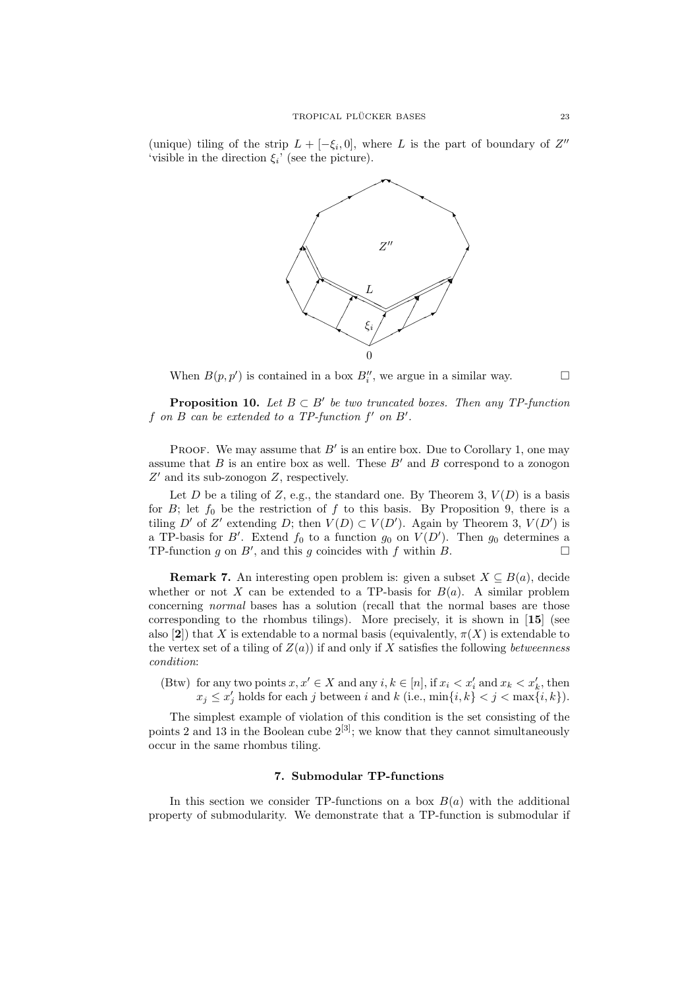(unique) tiling of the strip  $L + [-\xi_i, 0]$ , where L is the part of boundary of Z'' 'visible in the direction  $\xi_i$ ' (see the picture).



When  $B(p, p')$  is contained in a box  $B_i''$ , we argue in a similar way.

**Proposition 10.** Let  $B \subset B'$  be two truncated boxes. Then any TP-function  $f$  on  $B$  can be extended to a TP-function  $f'$  on  $B'$ .

PROOF. We may assume that  $B'$  is an entire box. Due to Corollary 1, one may assume that  $B$  is an entire box as well. These  $B'$  and  $B$  correspond to a zonogon  $Z'$  and its sub-zonogon  $Z$ , respectively.

Let D be a tiling of Z, e.g., the standard one. By Theorem 3,  $V(D)$  is a basis for B; let  $f_0$  be the restriction of f to this basis. By Proposition 9, there is a tiling D' of Z' extending D; then  $V(D) \subset V(D')$ . Again by Theorem 3,  $V(D')$  is a TP-basis for B'. Extend  $f_0$  to a function  $g_0$  on  $V(D')$ . Then  $g_0$  determines a TP-function g on B', and this g coincides with f within B.

**Remark 7.** An interesting open problem is: given a subset  $X \subseteq B(a)$ , decide whether or not X can be extended to a TP-basis for  $B(a)$ . A similar problem concerning normal bases has a solution (recall that the normal bases are those corresponding to the rhombus tilings). More precisely, it is shown in [15] (see also [2]) that X is extendable to a normal basis (equivalently,  $\pi(X)$  is extendable to the vertex set of a tiling of  $Z(a)$ ) if and only if X satisfies the following betweenness condition:

(Btw) for any two points  $x, x' \in X$  and any  $i, k \in [n]$ , if  $x_i < x'_i$  and  $x_k < x'_k$ , then  $x_j \leq x'_j$  holds for each j between i and k (i.e.,  $\min\{i,k\} < j < \max\{i,k\}$ ).

The simplest example of violation of this condition is the set consisting of the points 2 and 13 in the Boolean cube  $2^{[3]}$ ; we know that they cannot simultaneously occur in the same rhombus tiling.

### 7. Submodular TP-functions

In this section we consider TP-functions on a box  $B(a)$  with the additional property of submodularity. We demonstrate that a TP-function is submodular if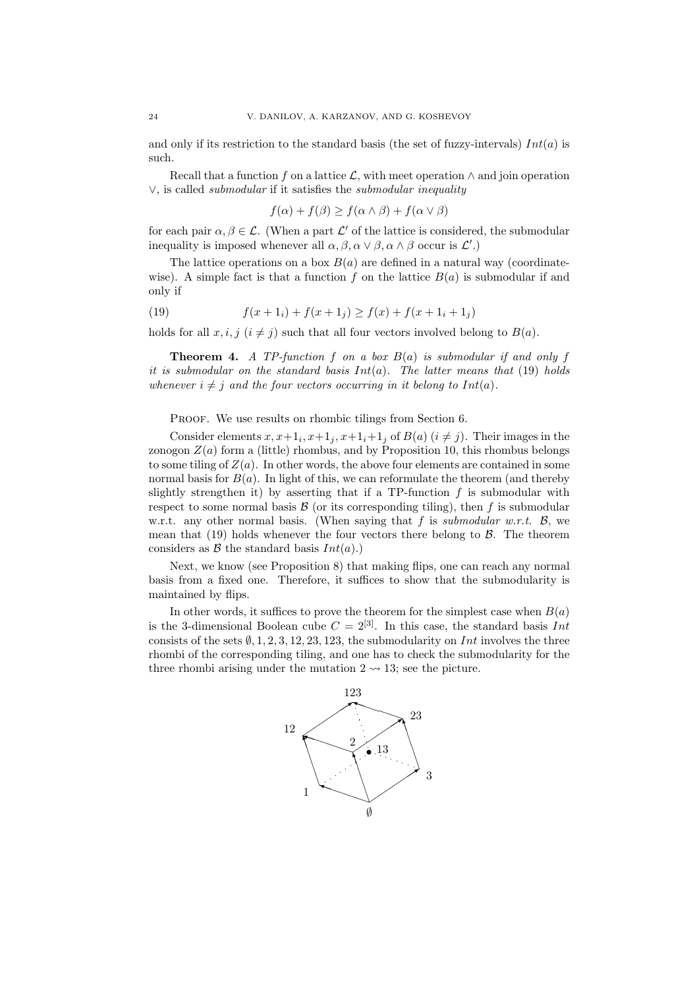and only if its restriction to the standard basis (the set of fuzzy-intervals)  $Int(a)$  is such.

Recall that a function f on a lattice  $\mathcal{L}$ , with meet operation  $\wedge$  and join operation  $\vee$ , is called *submodular* if it satisfies the *submodular inequality* 

$$
f(\alpha) + f(\beta) \ge f(\alpha \wedge \beta) + f(\alpha \vee \beta)
$$

for each pair  $\alpha, \beta \in \mathcal{L}$ . (When a part  $\mathcal{L}'$  of the lattice is considered, the submodular inequality is imposed whenever all  $\alpha, \beta, \alpha \vee \beta, \alpha \wedge \beta$  occur is  $\mathcal{L}'$ .)

The lattice operations on a box  $B(a)$  are defined in a natural way (coordinatewise). A simple fact is that a function f on the lattice  $B(a)$  is submodular if and only if

(19) 
$$
f(x+1_i) + f(x+1_j) \ge f(x) + f(x+1_i+1_j)
$$

holds for all  $x, i, j$  ( $i \neq j$ ) such that all four vectors involved belong to  $B(a)$ .

**Theorem 4.** A TP-function f on a box  $B(a)$  is submodular if and only f it is submodular on the standard basis  $Int(a)$ . The latter means that (19) holds whenever  $i \neq j$  and the four vectors occurring in it belong to Int(a).

PROOF. We use results on rhombic tilings from Section 6.

Consider elements  $x, x+1_i, x+1_j, x+1_i+1_j$  of  $B(a)$   $(i \neq j)$ . Their images in the zonogon  $Z(a)$  form a (little) rhombus, and by Proposition 10, this rhombus belongs to some tiling of  $Z(a)$ . In other words, the above four elements are contained in some normal basis for  $B(a)$ . In light of this, we can reformulate the theorem (and thereby slightly strengthen it) by asserting that if a TP-function  $f$  is submodular with respect to some normal basis  $\mathcal{B}$  (or its corresponding tiling), then f is submodular w.r.t. any other normal basis. (When saying that f is submodular w.r.t.  $\mathcal{B}$ , we mean that (19) holds whenever the four vectors there belong to  $\beta$ . The theorem considers as  $\beta$  the standard basis  $Int(a)$ .)

Next, we know (see Proposition 8) that making flips, one can reach any normal basis from a fixed one. Therefore, it suffices to show that the submodularity is maintained by flips.

In other words, it suffices to prove the theorem for the simplest case when  $B(a)$ is the 3-dimensional Boolean cube  $C = 2^{[3]}$ . In this case, the standard basis Int consists of the sets  $\emptyset$ , 1, 2, 3, 12, 23, 123, the submodularity on *Int* involves the three rhombi of the corresponding tiling, and one has to check the submodularity for the three rhombi arising under the mutation  $2 \rightarrow 13$ ; see the picture.

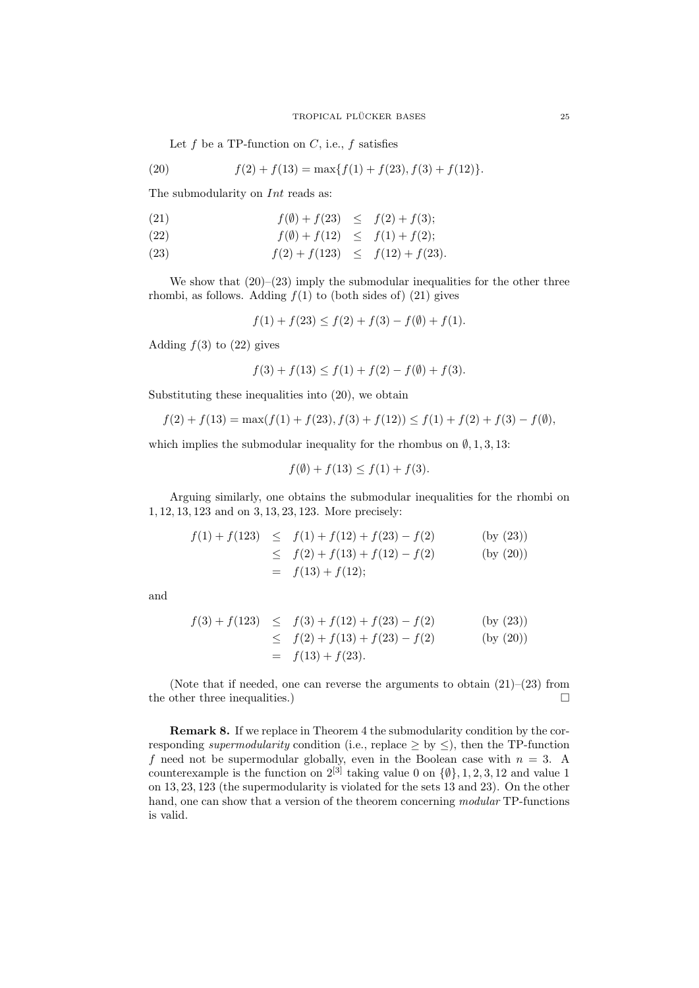Let f be a TP-function on  $C$ , i.e., f satisfies

(20) 
$$
f(2) + f(13) = \max\{f(1) + f(23), f(3) + f(12)\}.
$$

The submodularity on  $Int$  reads as:

(21) 
$$
f(\emptyset) + f(23) \leq f(2) + f(3);
$$

(22) 
$$
f(\emptyset) + f(12) \leq f(1) + f(2);
$$

(23)  $f(2) + f(123) < f(12) + f(23)$ .

We show that  $(20)$ – $(23)$  imply the submodular inequalities for the other three rhombi, as follows. Adding  $f(1)$  to (both sides of) (21) gives

$$
f(1) + f(23) \le f(2) + f(3) - f(\emptyset) + f(1).
$$

Adding  $f(3)$  to  $(22)$  gives

$$
f(3) + f(13) \le f(1) + f(2) - f(\emptyset) + f(3).
$$

Substituting these inequalities into (20), we obtain

$$
f(2) + f(13) = \max(f(1) + f(23), f(3) + f(12)) \le f(1) + f(2) + f(3) - f(\emptyset),
$$

which implies the submodular inequality for the rhombus on  $\emptyset$ , 1, 3, 13:

$$
f(\emptyset) + f(13) \le f(1) + f(3).
$$

Arguing similarly, one obtains the submodular inequalities for the rhombi on 1, 12, 13, 123 and on 3, 13, 23, 123. More precisely:

$$
f(1) + f(123) \le f(1) + f(12) + f(23) - f(2)
$$
 (by (23))  

$$
\le f(2) + f(13) + f(12) - f(2)
$$
 (by (20))  

$$
= f(13) + f(12);
$$

and

$$
f(3) + f(123) \leq f(3) + f(12) + f(23) - f(2)
$$
 (by (23))  

$$
\leq f(2) + f(13) + f(23) - f(2)
$$
 (by (20))  

$$
= f(13) + f(23).
$$

(Note that if needed, one can reverse the arguments to obtain  $(21)–(23)$  from the other three inequalities.)  $\Box$ 

Remark 8. If we replace in Theorem 4 the submodularity condition by the corresponding supermodularity condition (i.e., replace  $\geq$  by  $\leq$ ), then the TP-function f need not be supermodular globally, even in the Boolean case with  $n = 3$ . A counterexample is the function on  $2^{[3]}$  taking value 0 on  $\{\emptyset\}, 1, 2, 3, 12$  and value 1 on 13, 23, 123 (the supermodularity is violated for the sets 13 and 23). On the other hand, one can show that a version of the theorem concerning modular TP-functions is valid.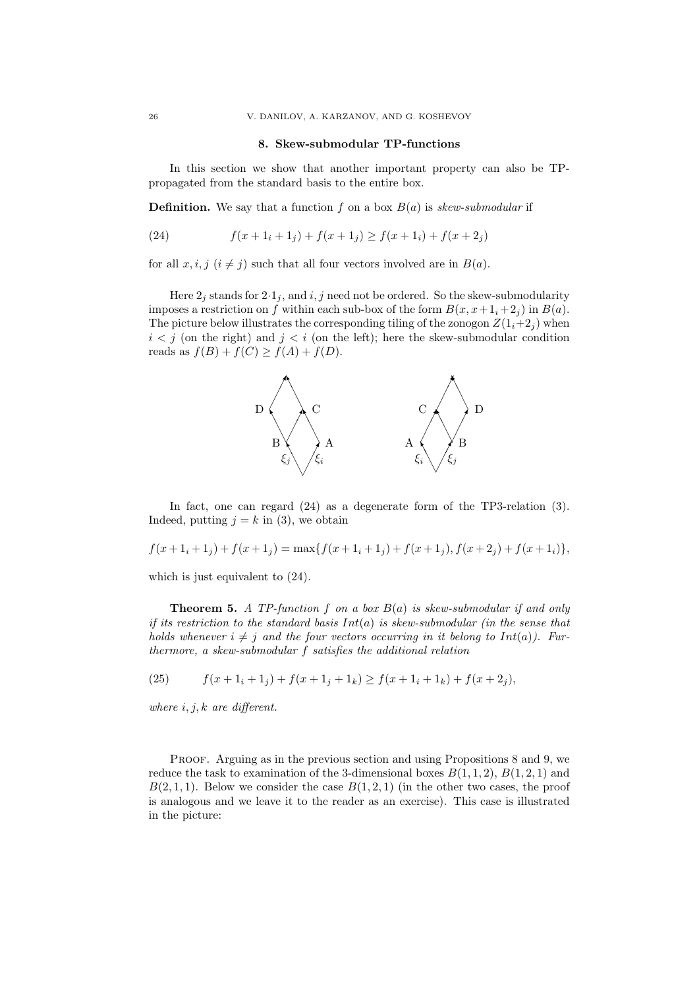#### 8. Skew-submodular TP-functions

In this section we show that another important property can also be TPpropagated from the standard basis to the entire box.

**Definition.** We say that a function f on a box  $B(a)$  is skew-submodular if

(24) 
$$
f(x+1_i+1_j) + f(x+1_j) \ge f(x+1_i) + f(x+2_j)
$$

for all  $x, i, j$   $(i \neq j)$  such that all four vectors involved are in  $B(a)$ .

Here  $2<sub>i</sub>$  stands for  $2 \cdot 1<sub>i</sub>$ , and i, j need not be ordered. So the skew-submodularity imposes a restriction on f within each sub-box of the form  $B(x, x+1<sub>i</sub>+2<sub>i</sub>)$  in  $B(a)$ . The picture below illustrates the corresponding tiling of the zonogon  $Z(1_i+2_j)$  when  $i < j$  (on the right) and  $j < i$  (on the left); here the skew-submodular condition reads as  $f(B) + f(C) \ge f(A) + f(D)$ .



In fact, one can regard  $(24)$  as a degenerate form of the TP3-relation  $(3)$ . Indeed, putting  $j = k$  in (3), we obtain

$$
f(x+1i+1j) + f(x+1j) = \max\{f(x+1i+1j) + f(x+1j), f(x+2j) + f(x+1i)\},\
$$

which is just equivalent to  $(24)$ .

**Theorem 5.** A TP-function f on a box  $B(a)$  is skew-submodular if and only if its restriction to the standard basis  $Int(a)$  is skew-submodular (in the sense that holds whenever  $i \neq j$  and the four vectors occurring in it belong to Int(a)). Furthermore, a skew-submodular f satisfies the additional relation

(25)  $f(x+1_i+1_j)+f(x+1_j+1_k) \ge f(x+1_i+1_k)+f(x+2_j),$ 

where  $i, j, k$  are different.

PROOF. Arguing as in the previous section and using Propositions 8 and 9, we reduce the task to examination of the 3-dimensional boxes  $B(1, 1, 2)$ ,  $B(1, 2, 1)$  and  $B(2, 1, 1)$ . Below we consider the case  $B(1, 2, 1)$  (in the other two cases, the proof is analogous and we leave it to the reader as an exercise). This case is illustrated in the picture: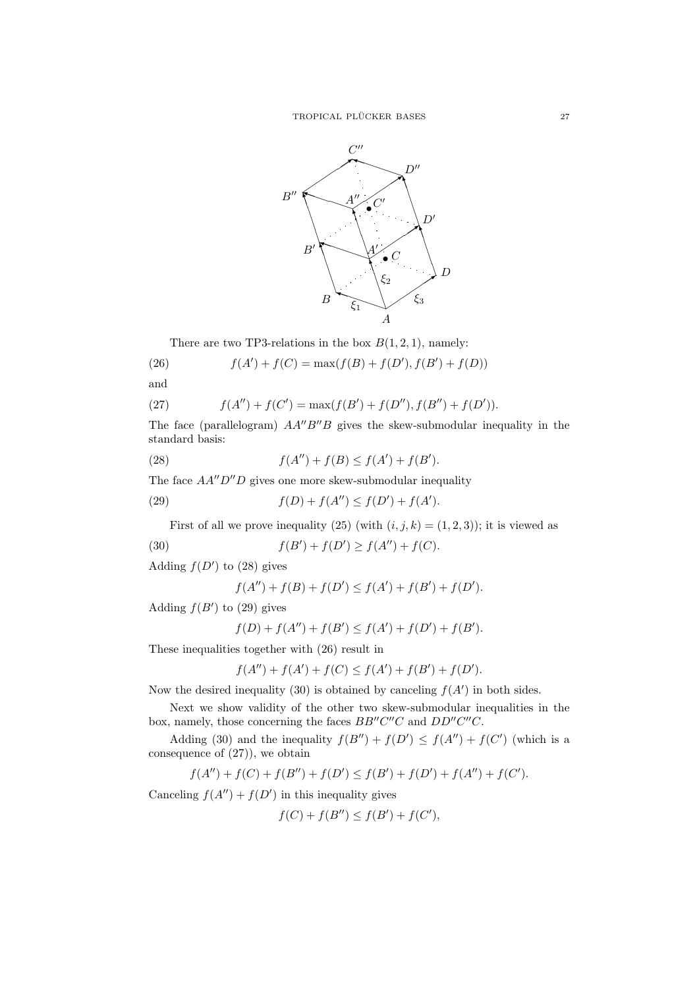

There are two TP3-relations in the box  $B(1, 2, 1)$ , namely:

(26) 
$$
f(A') + f(C) = \max(f(B) + f(D'), f(B') + f(D))
$$

and

(27) 
$$
f(A'') + f(C') = \max(f(B') + f(D''), f(B'') + f(D')).
$$

The face (parallelogram)  $AA''B''B$  gives the skew-submodular inequality in the standard basis:

(28) 
$$
f(A'') + f(B) \le f(A') + f(B').
$$

The face  $AA''D''D$  gives one more skew-submodular inequality

(29) 
$$
f(D) + f(A'') \le f(D') + f(A').
$$

First of all we prove inequality (25) (with  $(i, j, k) = (1, 2, 3)$ ); it is viewed as

(30) 
$$
f(B') + f(D') \ge f(A'') + f(C).
$$

Adding  $f(D')$  to (28) gives

$$
f(A'') + f(B) + f(D') \le f(A') + f(B') + f(D').
$$

Adding  $f(B')$  to (29) gives

$$
f(D) + f(A'') + f(B') \le f(A') + f(D') + f(B').
$$

These inequalities together with (26) result in

$$
f(A'') + f(A') + f(C) \le f(A') + f(B') + f(D').
$$

Now the desired inequality (30) is obtained by canceling  $f(A')$  in both sides.

Next we show validity of the other two skew-submodular inequalities in the box, namely, those concerning the faces  $BB''C''C$  and  $DD''C''C$ .

Adding (30) and the inequality  $f(B'') + f(D') \leq f(A'') + f(C')$  (which is a consequence of (27)), we obtain

$$
f(A'') + f(C) + f(B'') + f(D') \le f(B') + f(D') + f(A'') + f(C').
$$

Canceling  $f(A'') + f(D')$  in this inequality gives

$$
f(C) + f(B'') \le f(B') + f(C'),
$$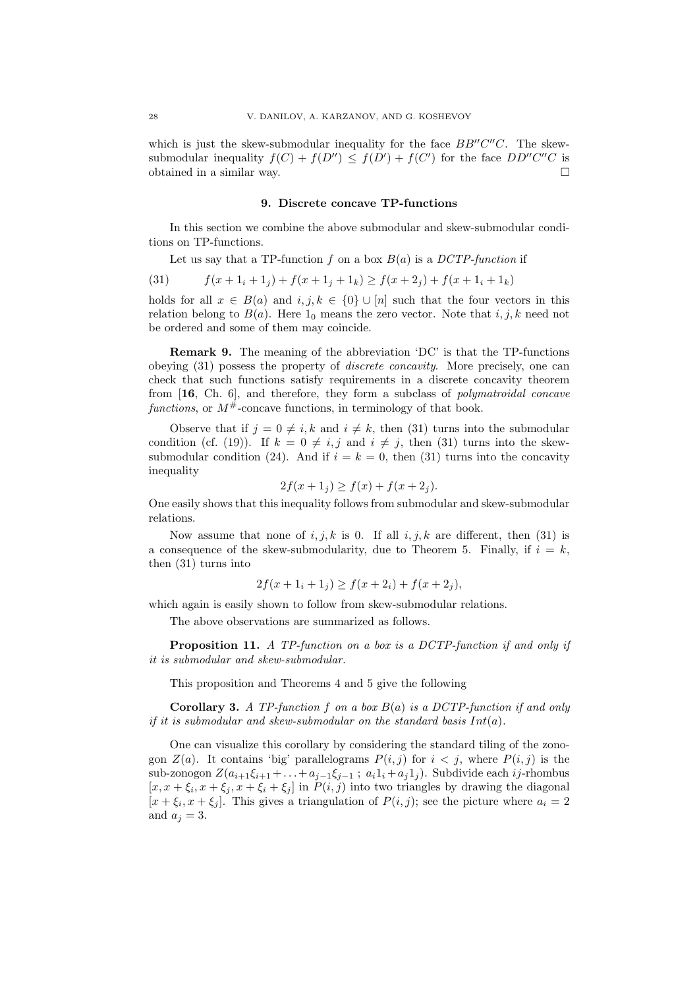which is just the skew-submodular inequality for the face  $BB''C''C$ . The skewsubmodular inequality  $f(C) + f(D'') \leq f(D') + f(C')$  for the face  $DD''C''C$  is obtained in a similar way.  $\Box$ 

## 9. Discrete concave TP-functions

In this section we combine the above submodular and skew-submodular conditions on TP-functions.

Let us say that a TP-function f on a box  $B(a)$  is a DCTP-function if

(31) 
$$
f(x+1_i+1_j) + f(x+1_j+1_k) \ge f(x+2_j) + f(x+1_i+1_k)
$$

holds for all  $x \in B(a)$  and  $i, j, k \in \{0\} \cup [n]$  such that the four vectors in this relation belong to  $B(a)$ . Here  $1_0$  means the zero vector. Note that  $i, j, k$  need not be ordered and some of them may coincide.

Remark 9. The meaning of the abbreviation 'DC' is that the TP-functions obeying (31) possess the property of discrete concavity. More precisely, one can check that such functions satisfy requirements in a discrete concavity theorem from [16, Ch. 6], and therefore, they form a subclass of polymatroidal concave functions, or  $M^{\#}$ -concave functions, in terminology of that book.

Observe that if  $j = 0 \neq i, k$  and  $i \neq k$ , then (31) turns into the submodular condition (cf. (19)). If  $k = 0 \neq i, j$  and  $i \neq j$ , then (31) turns into the skewsubmodular condition (24). And if  $i = k = 0$ , then (31) turns into the concavity inequality

$$
2f(x + 1j) \ge f(x) + f(x + 2j).
$$

One easily shows that this inequality follows from submodular and skew-submodular relations.

Now assume that none of  $i, j, k$  is 0. If all  $i, j, k$  are different, then (31) is a consequence of the skew-submodularity, due to Theorem 5. Finally, if  $i = k$ , then (31) turns into

$$
2f(x + 1i + 1j) \ge f(x + 2i) + f(x + 2j),
$$

which again is easily shown to follow from skew-submodular relations.

The above observations are summarized as follows.

Proposition 11. A TP-function on a box is a DCTP-function if and only if it is submodular and skew-submodular.

This proposition and Theorems 4 and 5 give the following

Corollary 3. A TP-function f on a box  $B(a)$  is a DCTP-function if and only if it is submodular and skew-submodular on the standard basis  $Int(a)$ .

One can visualize this corollary by considering the standard tiling of the zonogon  $Z(a)$ . It contains 'big' parallelograms  $P(i, j)$  for  $i < j$ , where  $P(i, j)$  is the sub-zonogon  $Z(a_{i+1}\xi_{i+1} + \ldots + a_{j-1}\xi_{j-1} ; a_i1_i + a_j1_j)$ . Subdivide each *ij*-rhombus  $[x, x + \xi_i, x + \xi_j, x + \xi_i + \xi_j]$  in  $P(i, j)$  into two triangles by drawing the diagonal  $[x + \xi_i, x + \xi_j]$ . This gives a triangulation of  $P(i, j)$ ; see the picture where  $a_i = 2$ and  $a_i = 3$ .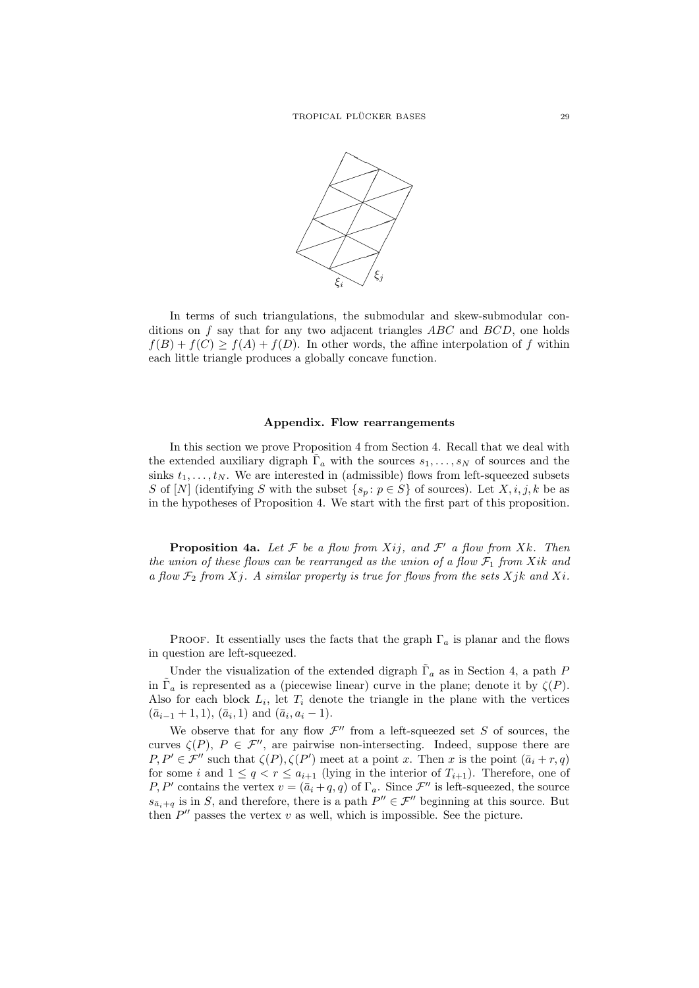

In terms of such triangulations, the submodular and skew-submodular conditions on  $f$  say that for any two adjacent triangles  $ABC$  and  $BCD$ , one holds  $f(B) + f(C) \ge f(A) + f(D)$ . In other words, the affine interpolation of f within each little triangle produces a globally concave function.

#### Appendix. Flow rearrangements

In this section we prove Proposition 4 from Section 4. Recall that we deal with the extended auxiliary digraph  $\tilde{\Gamma}_a$  with the sources  $s_1, \ldots, s_N$  of sources and the sinks  $t_1, \ldots, t_N$ . We are interested in (admissible) flows from left-squeezed subsets S of [N] (identifying S with the subset  $\{s_p : p \in S\}$  of sources). Let  $X, i, j, k$  be as in the hypotheses of Proposition 4. We start with the first part of this proposition.

**Proposition 4a.** Let  $\mathcal F$  be a flow from Xij, and  $\mathcal F'$  a flow from Xk. Then the union of these flows can be rearranged as the union of a flow  $\mathcal{F}_1$  from Xik and a flow  $\mathcal{F}_2$  from  $X_j$ . A similar property is true for flows from the sets  $X_j$ k and  $Xi$ .

PROOF. It essentially uses the facts that the graph  $\Gamma_a$  is planar and the flows in question are left-squeezed.

Under the visualization of the extended digraph  $\tilde{\Gamma}_a$  as in Section 4, a path F in  $\tilde{\Gamma}_a$  is represented as a (piecewise linear) curve in the plane; denote it by  $\zeta(P)$ . Also for each block  $L_i$ , let  $T_i$  denote the triangle in the plane with the vertices  $(\bar{a}_{i-1}+1,1), (\bar{a}_i,1)$  and  $(\bar{a}_i,a_i-1)$ .

We observe that for any flow  $\mathcal{F}''$  from a left-squeezed set S of sources, the curves  $\zeta(P)$ ,  $P \in \mathcal{F}''$ , are pairwise non-intersecting. Indeed, suppose there are  $P, P' \in \mathcal{F}''$  such that  $\zeta(P), \zeta(P')$  meet at a point x. Then x is the point  $(\bar{a}_i + r, q)$ for some i and  $1 \leq q < r \leq a_{i+1}$  (lying in the interior of  $T_{i+1}$ ). Therefore, one of P, P' contains the vertex  $v = (\bar{a}_i + q, q)$  of  $\Gamma_a$ . Since  $\mathcal{F}''$  is left-squeezed, the source  $s_{\bar{a}_i+q}$  is in S, and therefore, there is a path  $P'' \in \mathcal{F}''$  beginning at this source. But then  $P''$  passes the vertex v as well, which is impossible. See the picture.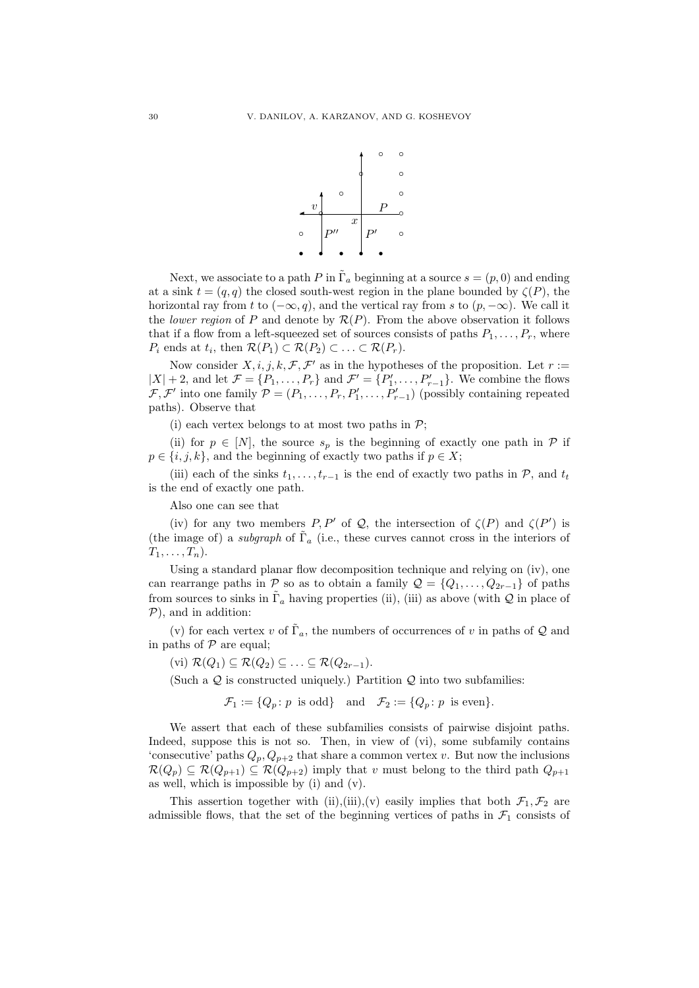

Next, we associate to a path P in  $\tilde{\Gamma}_a$  beginning at a source  $s = (p, 0)$  and ending at a sink  $t = (q, q)$  the closed south-west region in the plane bounded by  $\zeta(P)$ , the horizontal ray from t to  $(-\infty, q)$ , and the vertical ray from s to  $(p, -\infty)$ . We call it the lower region of P and denote by  $\mathcal{R}(P)$ . From the above observation it follows that if a flow from a left-squeezed set of sources consists of paths  $P_1, \ldots, P_r$ , where  $P_i$  ends at  $t_i$ , then  $\mathcal{R}(P_1) \subset \mathcal{R}(P_2) \subset \ldots \subset \mathcal{R}(P_r)$ .

Now consider  $X, i, j, k, \mathcal{F}, \mathcal{F}'$  as in the hypotheses of the proposition. Let  $r :=$  $|X|+2$ , and let  $\mathcal{F} = \{P_1, \ldots, P_r\}$  and  $\mathcal{F}' = \{P'_1, \ldots, P'_{r-1}\}$ . We combine the flows  $\mathcal{F}, \mathcal{F}'$  into one family  $\mathcal{P} = (P_1, \ldots, P_r, P'_1, \ldots, P'_{r-1})$  (possibly containing repeated paths). Observe that

(i) each vertex belongs to at most two paths in  $\mathcal{P}$ ;

(ii) for  $p \in [N]$ , the source  $s_p$  is the beginning of exactly one path in  $\mathcal P$  if  $p \in \{i, j, k\}$ , and the beginning of exactly two paths if  $p \in X$ ;

(iii) each of the sinks  $t_1, \ldots, t_{r-1}$  is the end of exactly two paths in P, and  $t_t$ is the end of exactly one path.

Also one can see that

(iv) for any two members P, P' of Q, the intersection of  $\zeta(P)$  and  $\zeta(P')$  is (the image of) a *subgraph* of  $\tilde{\Gamma}_a$  (i.e., these curves cannot cross in the interiors of  $T_1, \ldots, T_n$ ).

Using a standard planar flow decomposition technique and relying on (iv), one can rearrange paths in P so as to obtain a family  $\mathcal{Q} = \{Q_1, \ldots, Q_{2r-1}\}\$  of paths from sources to sinks in  $\tilde{\Gamma}_a$  having properties (ii), (iii) as above (with  $\mathcal Q$  in place of  $P$ ), and in addition:

(v) for each vertex v of  $\tilde{\Gamma}_a$ , the numbers of occurrences of v in paths of  $Q$  and in paths of  $P$  are equal;

(vi)  $\mathcal{R}(Q_1) \subseteq \mathcal{R}(Q_2) \subseteq \ldots \subseteq \mathcal{R}(Q_{2r-1}).$ 

(Such a  $Q$  is constructed uniquely.) Partition  $Q$  into two subfamilies:

 $\mathcal{F}_1 := \{Q_p : p \text{ is odd}\}\$ and  $\mathcal{F}_2 := \{Q_p : p \text{ is even}\}.$ 

We assert that each of these subfamilies consists of pairwise disjoint paths. Indeed, suppose this is not so. Then, in view of (vi), some subfamily contains 'consecutive' paths  $Q_p, Q_{p+2}$  that share a common vertex v. But now the inclusions  $\mathcal{R}(Q_p) \subseteq \mathcal{R}(Q_{p+1}) \subseteq \mathcal{R}(Q_{p+2})$  imply that v must belong to the third path  $Q_{p+1}$ as well, which is impossible by (i) and (v).

This assertion together with (ii),(iii),(v) easily implies that both  $\mathcal{F}_1, \mathcal{F}_2$  are admissible flows, that the set of the beginning vertices of paths in  $\mathcal{F}_1$  consists of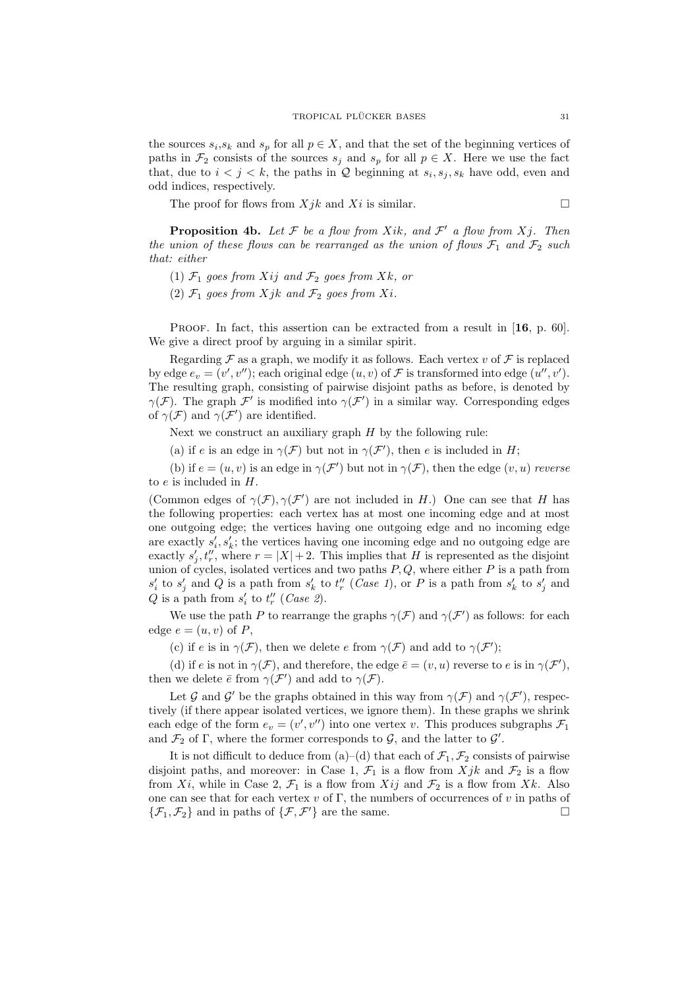the sources  $s_i, s_k$  and  $s_p$  for all  $p \in X$ , and that the set of the beginning vertices of paths in  $\mathcal{F}_2$  consists of the sources  $s_j$  and  $s_p$  for all  $p \in X$ . Here we use the fact that, due to  $i < j < k$ , the paths in Q beginning at  $s_i, s_j, s_k$  have odd, even and odd indices, respectively.

The proof for flows from  $Xjk$  and  $Xi$  is similar.

**Proposition 4b.** Let  $\mathcal F$  be a flow from Xik, and  $\mathcal F'$  a flow from Xj. Then the union of these flows can be rearranged as the union of flows  $\mathcal{F}_1$  and  $\mathcal{F}_2$  such that: either

- (1)  $\mathcal{F}_1$  goes from  $Xij$  and  $\mathcal{F}_2$  goes from  $Xk$ , or
- (2)  $\mathcal{F}_1$  goes from  $Xjk$  and  $\mathcal{F}_2$  goes from  $Xi$ .

PROOF. In fact, this assertion can be extracted from a result in [16, p. 60]. We give a direct proof by arguing in a similar spirit.

Regarding  $\mathcal F$  as a graph, we modify it as follows. Each vertex  $v$  of  $\mathcal F$  is replaced by edge  $e_v = (v', v'')$ ; each original edge  $(u, v)$  of  $\mathcal F$  is transformed into edge  $(u'', v')$ . The resulting graph, consisting of pairwise disjoint paths as before, is denoted by  $\gamma(F)$ . The graph F' is modified into  $\gamma(F')$  in a similar way. Corresponding edges of  $\gamma(\mathcal{F})$  and  $\gamma(\mathcal{F}')$  are identified.

Next we construct an auxiliary graph  $H$  by the following rule:

(a) if e is an edge in  $\gamma(\mathcal{F})$  but not in  $\gamma(\mathcal{F}')$ , then e is included in H;

(b) if  $e = (u, v)$  is an edge in  $\gamma(\mathcal{F}')$  but not in  $\gamma(\mathcal{F})$ , then the edge  $(v, u)$  reverse to  $e$  is included in  $H$ .

(Common edges of  $\gamma(\mathcal{F}), \gamma(\mathcal{F}')$  are not included in H.) One can see that H has the following properties: each vertex has at most one incoming edge and at most one outgoing edge; the vertices having one outgoing edge and no incoming edge are exactly  $s_i', s_k';$  the vertices having one incoming edge and no outgoing edge are exactly  $s'_{j}, t''_{r}$ , where  $r = |X| + 2$ . This implies that H is represented as the disjoint union of cycles, isolated vertices and two paths  $P, Q$ , where either  $P$  is a path from  $s'_{i}$  to  $s'_{j}$  and Q is a path from  $s'_{k}$  to  $t''_{r}$  (Case 1), or P is a path from  $s'_{k}$  to  $s'_{j}$  and  $Q$  is a path from  $s_i'$  to  $t_i''$  (Case 2).

We use the path P to rearrange the graphs  $\gamma(\mathcal{F})$  and  $\gamma(\mathcal{F}')$  as follows: for each edge  $e = (u, v)$  of P,

(c) if e is in  $\gamma(\mathcal{F})$ , then we delete e from  $\gamma(\mathcal{F})$  and add to  $\gamma(\mathcal{F}')$ ;

(d) if e is not in  $\gamma(\mathcal{F})$ , and therefore, the edge  $\bar{e} = (v, u)$  reverse to e is in  $\gamma(\mathcal{F}')$ , then we delete  $\bar{e}$  from  $\gamma(\mathcal{F}')$  and add to  $\gamma(\mathcal{F})$ .

Let G and G' be the graphs obtained in this way from  $\gamma(\mathcal{F})$  and  $\gamma(\mathcal{F}')$ , respectively (if there appear isolated vertices, we ignore them). In these graphs we shrink each edge of the form  $e_v = (v', v'')$  into one vertex v. This produces subgraphs  $\mathcal{F}_1$ and  $\mathcal{F}_2$  of  $\Gamma$ , where the former corresponds to  $\mathcal{G}$ , and the latter to  $\mathcal{G}'$ .

It is not difficult to deduce from (a)–(d) that each of  $\mathcal{F}_1, \mathcal{F}_2$  consists of pairwise disjoint paths, and moreover: in Case 1,  $\mathcal{F}_1$  is a flow from  $Xjk$  and  $\mathcal{F}_2$  is a flow from Xi, while in Case 2,  $\mathcal{F}_1$  is a flow from Xij and  $\mathcal{F}_2$  is a flow from Xk. Also one can see that for each vertex v of Γ, the numbers of occurrences of v in paths of  $\{\mathcal{F}_1, \mathcal{F}_2\}$  and in paths of  $\{\mathcal{F}, \mathcal{F}'\}$  are the same.